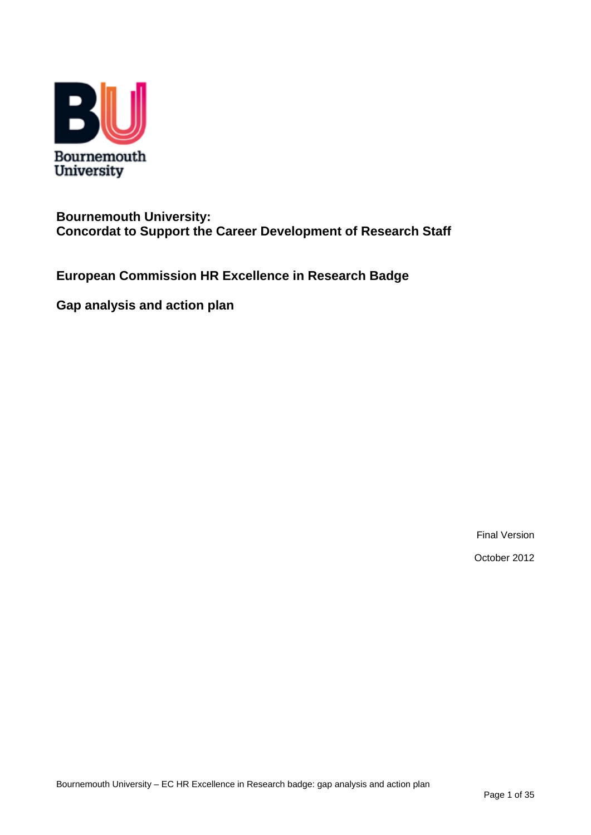

### **Bournemouth University: Concordat to Support the Career Development of Research Staff**

**European Commission HR Excellence in Research Badge** 

**Gap analysis and action plan** 

Final Version

October 2012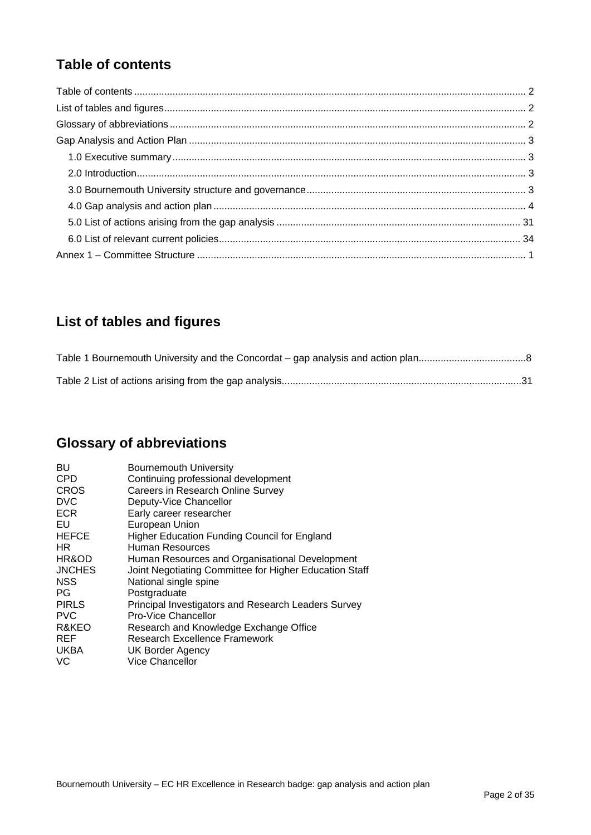### <span id="page-1-0"></span>**Table of contents**

## **List of tables and figures**

# **Glossary of abbreviations**

| BU            | <b>Bournemouth University</b>                          |
|---------------|--------------------------------------------------------|
| <b>CPD</b>    | Continuing professional development                    |
| <b>CROS</b>   | Careers in Research Online Survey                      |
| <b>DVC</b>    | Deputy-Vice Chancellor                                 |
| <b>ECR</b>    | Early career researcher                                |
| EU            | European Union                                         |
| <b>HEFCE</b>  | Higher Education Funding Council for England           |
| HR.           | Human Resources                                        |
| HR&OD         | Human Resources and Organisational Development         |
| <b>JNCHES</b> | Joint Negotiating Committee for Higher Education Staff |
| <b>NSS</b>    | National single spine                                  |
| <b>PG</b>     | Postgraduate                                           |
| <b>PIRLS</b>  | Principal Investigators and Research Leaders Survey    |
| <b>PVC</b>    | Pro-Vice Chancellor                                    |
| R&KEO         | Research and Knowledge Exchange Office                 |
| <b>REF</b>    | Research Excellence Framework                          |
| <b>UKBA</b>   | <b>UK Border Agency</b>                                |
| VC            | <b>Vice Chancellor</b>                                 |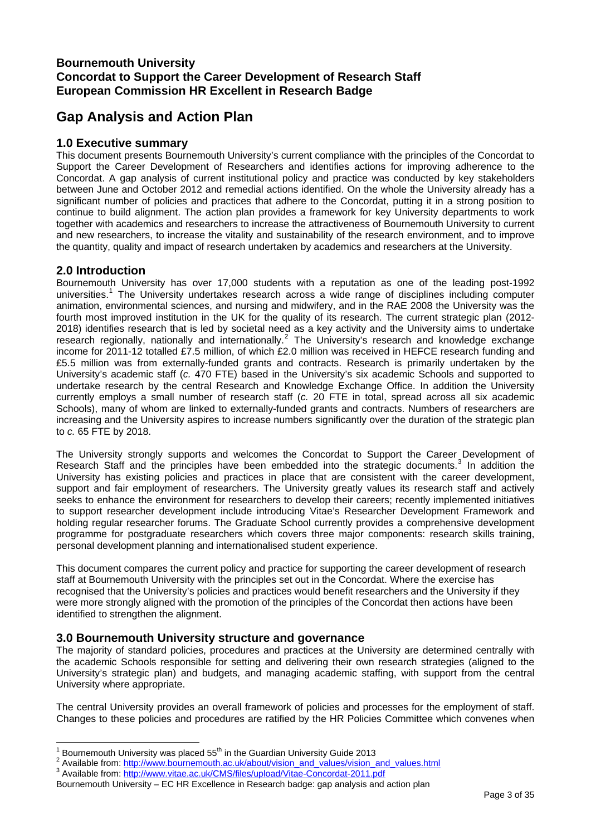### <span id="page-2-0"></span>**Bournemouth University Concordat to Support the Career Development of Research Staff European Commission HR Excellent in Research Badge**

### **Gap Analysis and Action Plan**

#### **1.0 Executive summary**

This document presents Bournemouth University's current compliance with the principles of the Concordat to Support the Career Development of Researchers and identifies actions for improving adherence to the Concordat. A gap analysis of current institutional policy and practice was conducted by key stakeholders between June and October 2012 and remedial actions identified. On the whole the University already has a significant number of policies and practices that adhere to the Concordat, putting it in a strong position to continue to build alignment. The action plan provides a framework for key University departments to work together with academics and researchers to increase the attractiveness of Bournemouth University to current and new researchers, to increase the vitality and sustainability of the research environment, and to improve the quantity, quality and impact of research undertaken by academics and researchers at the University.

#### **2.0 Introduction**

Bournemouth University has over 17,000 students with a reputation as one of the leading post-1992 universities.<sup>[1](#page-2-1)</sup> The University undertakes research across a wide range of disciplines including computer animation, environmental sciences, and nursing and midwifery, and in the RAE 2008 the University was the fourth most improved institution in the UK for the quality of its research. The current strategic plan (2012- 2018) identifies research that is led by societal need as a key activity and the University aims to undertake research regionally, nationally and internationally.<sup>[2](#page-2-2)</sup> The University's research and knowledge exchange income for 2011-12 totalled £7.5 million, of which £2.0 million was received in HEFCE research funding and £5.5 million was from externally-funded grants and contracts. Research is primarily undertaken by the University's academic staff (*c.* 470 FTE) based in the University's six academic Schools and supported to undertake research by the central Research and Knowledge Exchange Office. In addition the University currently employs a small number of research staff (*c.* 20 FTE in total, spread across all six academic Schools), many of whom are linked to externally-funded grants and contracts. Numbers of researchers are increasing and the University aspires to increase numbers significantly over the duration of the strategic plan to *c.* 65 FTE by 2018.

The University strongly supports and welcomes the Concordat to Support the Career Development of Research Staff and the principles have been embedded into the strategic documents.<sup>[3](#page-2-3)</sup> In addition the University has existing policies and practices in place that are consistent with the career development, support and fair employment of researchers. The University greatly values its research staff and actively seeks to enhance the environment for researchers to develop their careers; recently implemented initiatives to support researcher development include introducing Vitae's Researcher Development Framework and holding regular researcher forums. The Graduate School currently provides a comprehensive development programme for postgraduate researchers which covers three major components: research skills training, personal development planning and internationalised student experience.

This document compares the current policy and practice for supporting the career development of research staff at Bournemouth University with the principles set out in the Concordat. Where the exercise has recognised that the University's policies and practices would benefit researchers and the University if they were more strongly aligned with the promotion of the principles of the Concordat then actions have been identified to strengthen the alignment.

#### **3.0 Bournemouth University structure and governance**

The majority of standard policies, procedures and practices at the University are determined centrally with the academic Schools responsible for setting and delivering their own research strategies (aligned to the University's strategic plan) and budgets, and managing academic staffing, with support from the central University where appropriate.

The central University provides an overall framework of policies and processes for the employment of staff. Changes to these policies and procedures are ratified by the HR Policies Committee which convenes when

 $\overline{a}$ 1 Bournemouth University was placed 55<sup>th</sup> in the Guardian University Guide 2013

<span id="page-2-2"></span><span id="page-2-1"></span>Available from: [http://www.bournemouth.ac.uk/about/vision\\_and\\_values/vision\\_and\\_values.html](http://www.bournemouth.ac.uk/about/vision_and_values/vision_and_values.html)

<span id="page-2-3"></span>Available from: <http://www.vitae.ac.uk/CMS/files/upload/Vitae-Concordat-2011.pdf>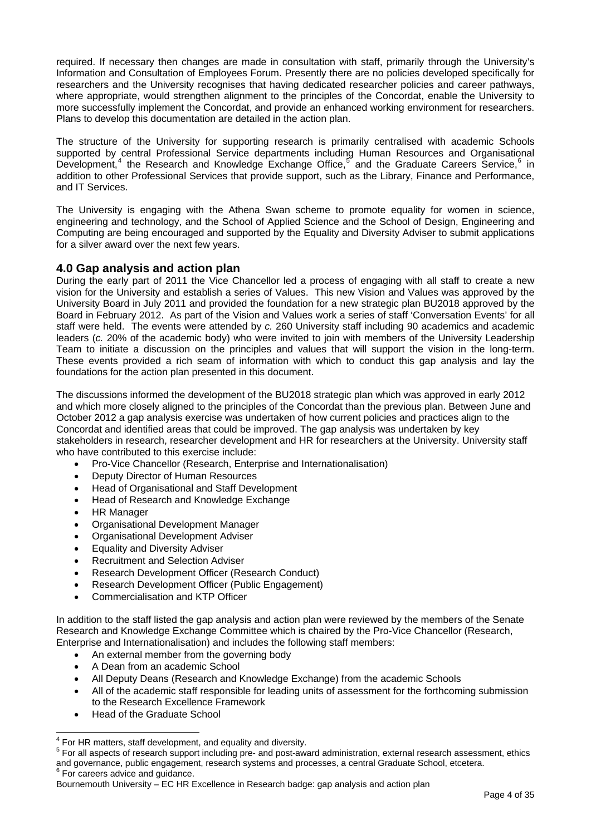<span id="page-3-0"></span>required. If necessary then changes are made in consultation with staff, primarily through the University's Information and Consultation of Employees Forum. Presently there are no policies developed specifically for researchers and the University recognises that having dedicated researcher policies and career pathways, where appropriate, would strengthen alignment to the principles of the Concordat, enable the University to more successfully implement the Concordat, and provide an enhanced working environment for researchers. Plans to develop this documentation are detailed in the action plan.

The structure of the University for supporting research is primarily centralised with academic Schools supported by central Professional Service departments including Human Resources and Organisational Development,<sup>[4](#page-3-0)</sup> the Research and Knowledge Exchange Office,<sup>[5](#page-3-0)</sup> and the Graduate Careers Service,<sup>[6](#page-3-0)</sup> in addition to other Professional Services that provide support, such as the Library, Finance and Performance, and IT Services.

The University is engaging with the Athena Swan scheme to promote equality for women in science, engineering and technology, and the School of Applied Science and the School of Design, Engineering and Computing are being encouraged and supported by the Equality and Diversity Adviser to submit applications for a silver award over the next few years.

#### **4.0 Gap analysis and action plan**

During the early part of 2011 the Vice Chancellor led a process of engaging with all staff to create a new vision for the University and establish a series of Values. This new Vision and Values was approved by the University Board in July 2011 and provided the foundation for a new strategic plan BU2018 approved by the Board in February 2012. As part of the Vision and Values work a series of staff 'Conversation Events' for all staff were held. The events were attended by *c.* 260 University staff including 90 academics and academic leaders (*c.* 20% of the academic body) who were invited to join with members of the University Leadership Team to initiate a discussion on the principles and values that will support the vision in the long-term. These events provided a rich seam of information with which to conduct this gap analysis and lay the foundations for the action plan presented in this document.

The discussions informed the development of the BU2018 strategic plan which was approved in early 2012 and which more closely aligned to the principles of the Concordat than the previous plan. Between June and October 2012 a gap analysis exercise was undertaken of how current policies and practices align to the Concordat and identified areas that could be improved. The gap analysis was undertaken by key stakeholders in research, researcher development and HR for researchers at the University. University staff who have contributed to this exercise include:

- Pro-Vice Chancellor (Research, Enterprise and Internationalisation)
- Deputy Director of Human Resources
- Head of Organisational and Staff Development
- Head of Research and Knowledge Exchange
- HR Manager
- Organisational Development Manager
- Organisational Development Adviser
- Equality and Diversity Adviser
- Recruitment and Selection Adviser
- Research Development Officer (Research Conduct)
- Research Development Officer (Public Engagement)
- Commercialisation and KTP Officer

In addition to the staff listed the gap analysis and action plan were reviewed by the members of the Senate Research and Knowledge Exchange Committee which is chaired by the Pro-Vice Chancellor (Research, Enterprise and Internationalisation) and includes the following staff members:

- An external member from the governing body
- A Dean from an academic School
- All Deputy Deans (Research and Knowledge Exchange) from the academic Schools
- All of the academic staff responsible for leading units of assessment for the forthcoming submission to the Research Excellence Framework
- Head of the Graduate School

 $\overline{a}$  $4$  For HR matters, staff development, and equality and diversity.

<sup>&</sup>lt;sup>5</sup> For all aspects of research support including pre- and post-award administration, external research assessment, ethics and governance, public engagement, research systems and processes, a central Graduate School, etcetera. <sup>6</sup> For careers advice and guidance.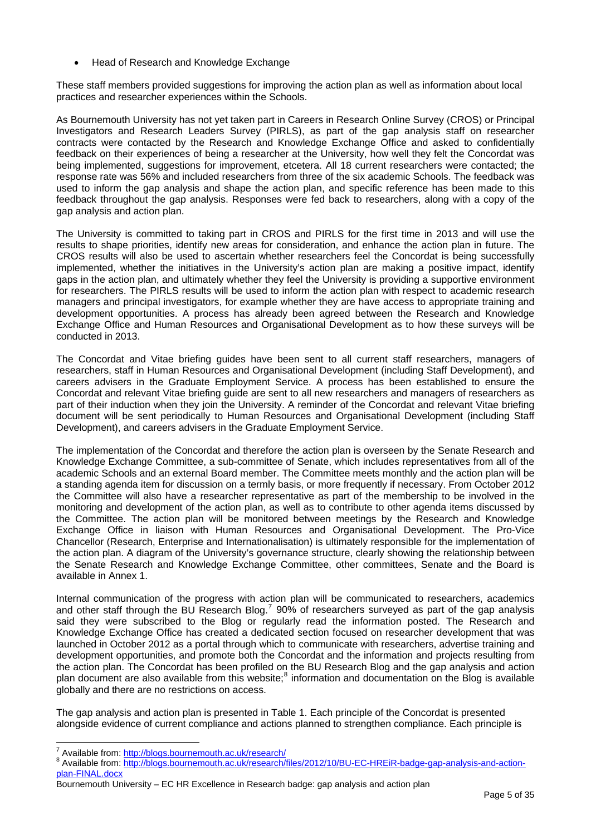<span id="page-4-0"></span>• Head of Research and Knowledge Exchange

These staff members provided suggestions for improving the action plan as well as information about local practices and researcher experiences within the Schools.

As Bournemouth University has not yet taken part in Careers in Research Online Survey (CROS) or Principal Investigators and Research Leaders Survey (PIRLS), as part of the gap analysis staff on researcher contracts were contacted by the Research and Knowledge Exchange Office and asked to confidentially feedback on their experiences of being a researcher at the University, how well they felt the Concordat was being implemented, suggestions for improvement, etcetera. All 18 current researchers were contacted; the response rate was 56% and included researchers from three of the six academic Schools. The feedback was used to inform the gap analysis and shape the action plan, and specific reference has been made to this feedback throughout the gap analysis. Responses were fed back to researchers, along with a copy of the gap analysis and action plan.

The University is committed to taking part in CROS and PIRLS for the first time in 2013 and will use the results to shape priorities, identify new areas for consideration, and enhance the action plan in future. The CROS results will also be used to ascertain whether researchers feel the Concordat is being successfully implemented, whether the initiatives in the University's action plan are making a positive impact, identify gaps in the action plan, and ultimately whether they feel the University is providing a supportive environment for researchers. The PIRLS results will be used to inform the action plan with respect to academic research managers and principal investigators, for example whether they are have access to appropriate training and development opportunities. A process has already been agreed between the Research and Knowledge Exchange Office and Human Resources and Organisational Development as to how these surveys will be conducted in 2013.

The Concordat and Vitae briefing guides have been sent to all current staff researchers, managers of researchers, staff in Human Resources and Organisational Development (including Staff Development), and careers advisers in the Graduate Employment Service. A process has been established to ensure the Concordat and relevant Vitae briefing guide are sent to all new researchers and managers of researchers as part of their induction when they join the University. A reminder of the Concordat and relevant Vitae briefing document will be sent periodically to Human Resources and Organisational Development (including Staff Development), and careers advisers in the Graduate Employment Service.

The implementation of the Concordat and therefore the action plan is overseen by the Senate Research and Knowledge Exchange Committee, a sub-committee of Senate, which includes representatives from all of the academic Schools and an external Board member. The Committee meets monthly and the action plan will be a standing agenda item for discussion on a termly basis, or more frequently if necessary. From October 2012 the Committee will also have a researcher representative as part of the membership to be involved in the monitoring and development of the action plan, as well as to contribute to other agenda items discussed by the Committee. The action plan will be monitored between meetings by the Research and Knowledge Exchange Office in liaison with Human Resources and Organisational Development. The Pro-Vice Chancellor (Research, Enterprise and Internationalisation) is ultimately responsible for the implementation of the action plan. A diagram of the University's governance structure, clearly showing the relationship between the Senate Research and Knowledge Exchange Committee, other committees, Senate and the Board is available in Annex 1.

Internal communication of the progress with action plan will be communicated to researchers, academics and other staff through the BU Research Blog.<sup>[7](#page-4-0)</sup> 90% of researchers surveyed as part of the gap analysis said they were subscribed to the Blog or regularly read the information posted. The Research and Knowledge Exchange Office has created a dedicated section focused on researcher development that was launched in October 2012 as a portal through which to communicate with researchers, advertise training and development opportunities, and promote both the Concordat and the information and projects resulting from the action plan. The Concordat has been profiled on the BU Research Blog and the gap analysis and action plan document are also available from this website;<sup>[8](#page-4-0)</sup> information and documentation on the Blog is available globally and there are no restrictions on access.

The gap analysis and action plan is presented in Table 1. Each principle of the Concordat is presented alongside evidence of current compliance and actions planned to strengthen compliance. Each principle is

 $\overline{a}$ 7 Available from: <http://blogs.bournemouth.ac.uk/research/><br><sup>8</sup> Available from: http://blogs.bournemouth.co.uk/research/

Available from: [http://blogs.bournemouth.ac.uk/research/files/2012/10/BU-EC-HREiR-badge-gap-analysis-and-action](http://blogs.bournemouth.ac.uk/research/files/2012/10/BU-EC-HREiR-badge-gap-analysis-and-action-plan-FINAL.docx)[plan-FINAL.docx](http://blogs.bournemouth.ac.uk/research/files/2012/10/BU-EC-HREiR-badge-gap-analysis-and-action-plan-FINAL.docx)

Bournemouth University – EC HR Excellence in Research badge: gap analysis and action plan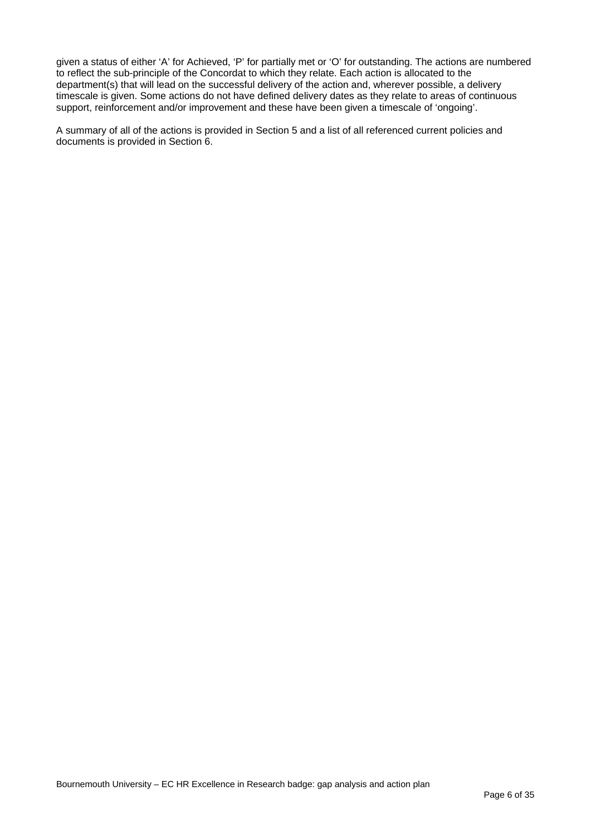given a status of either 'A' for Achieved, 'P' for partially met or 'O' for outstanding. The actions are numbered to reflect the sub-principle of the Concordat to which they relate. Each action is allocated to the department(s) that will lead on the successful delivery of the action and, wherever possible, a delivery timescale is given. Some actions do not have defined delivery dates as they relate to areas of continuous support, reinforcement and/or improvement and these have been given a timescale of 'ongoing'.

A summary of all of the actions is provided in Section 5 and a list of all referenced current policies and documents is provided in Section 6.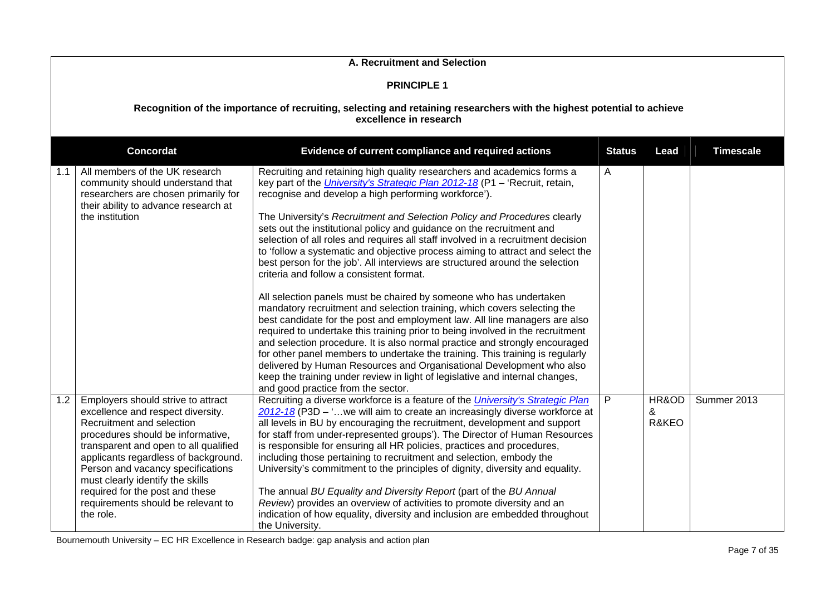|     | A. Recruitment and Selection                                                                                                                                                                                                                                                                                                                                                              |                                                                                                                                                                                                                                                                                                                                                                                                                                                                                                                                                                                                                                                                                                                                                                                                                                                                                                                                                                                                                                                                                                                                                                                                                                                                                                                                                       |   |                     |             |  |  |  |
|-----|-------------------------------------------------------------------------------------------------------------------------------------------------------------------------------------------------------------------------------------------------------------------------------------------------------------------------------------------------------------------------------------------|-------------------------------------------------------------------------------------------------------------------------------------------------------------------------------------------------------------------------------------------------------------------------------------------------------------------------------------------------------------------------------------------------------------------------------------------------------------------------------------------------------------------------------------------------------------------------------------------------------------------------------------------------------------------------------------------------------------------------------------------------------------------------------------------------------------------------------------------------------------------------------------------------------------------------------------------------------------------------------------------------------------------------------------------------------------------------------------------------------------------------------------------------------------------------------------------------------------------------------------------------------------------------------------------------------------------------------------------------------|---|---------------------|-------------|--|--|--|
|     | <b>PRINCIPLE 1</b>                                                                                                                                                                                                                                                                                                                                                                        |                                                                                                                                                                                                                                                                                                                                                                                                                                                                                                                                                                                                                                                                                                                                                                                                                                                                                                                                                                                                                                                                                                                                                                                                                                                                                                                                                       |   |                     |             |  |  |  |
|     | Recognition of the importance of recruiting, selecting and retaining researchers with the highest potential to achieve<br>excellence in research                                                                                                                                                                                                                                          |                                                                                                                                                                                                                                                                                                                                                                                                                                                                                                                                                                                                                                                                                                                                                                                                                                                                                                                                                                                                                                                                                                                                                                                                                                                                                                                                                       |   |                     |             |  |  |  |
|     | <b>Concordat</b><br><b>Timescale</b><br>Evidence of current compliance and required actions<br><b>Status</b><br>Lead                                                                                                                                                                                                                                                                      |                                                                                                                                                                                                                                                                                                                                                                                                                                                                                                                                                                                                                                                                                                                                                                                                                                                                                                                                                                                                                                                                                                                                                                                                                                                                                                                                                       |   |                     |             |  |  |  |
| 1.1 | All members of the UK research<br>community should understand that<br>researchers are chosen primarily for<br>their ability to advance research at<br>the institution                                                                                                                                                                                                                     | Recruiting and retaining high quality researchers and academics forms a<br>key part of the University's Strategic Plan 2012-18 (P1 - 'Recruit, retain,<br>recognise and develop a high performing workforce').<br>The University's Recruitment and Selection Policy and Procedures clearly<br>sets out the institutional policy and guidance on the recruitment and<br>selection of all roles and requires all staff involved in a recruitment decision<br>to 'follow a systematic and objective process aiming to attract and select the<br>best person for the job'. All interviews are structured around the selection<br>criteria and follow a consistent format.<br>All selection panels must be chaired by someone who has undertaken<br>mandatory recruitment and selection training, which covers selecting the<br>best candidate for the post and employment law. All line managers are also<br>required to undertake this training prior to being involved in the recruitment<br>and selection procedure. It is also normal practice and strongly encouraged<br>for other panel members to undertake the training. This training is regularly<br>delivered by Human Resources and Organisational Development who also<br>keep the training under review in light of legislative and internal changes,<br>and good practice from the sector. | A |                     |             |  |  |  |
| 1.2 | Employers should strive to attract<br>excellence and respect diversity.<br>Recruitment and selection<br>procedures should be informative,<br>transparent and open to all qualified<br>applicants regardless of background.<br>Person and vacancy specifications<br>must clearly identify the skills<br>required for the post and these<br>requirements should be relevant to<br>the role. | Recruiting a diverse workforce is a feature of the <i>University's Strategic Plan</i><br>2012-18 (P3D - 'we will aim to create an increasingly diverse workforce at<br>all levels in BU by encouraging the recruitment, development and support<br>for staff from under-represented groups'). The Director of Human Resources<br>is responsible for ensuring all HR policies, practices and procedures,<br>including those pertaining to recruitment and selection, embody the<br>University's commitment to the principles of dignity, diversity and equality.<br>The annual BU Equality and Diversity Report (part of the BU Annual<br>Review) provides an overview of activities to promote diversity and an<br>indication of how equality, diversity and inclusion are embedded throughout<br>the University.                                                                                                                                                                                                                                                                                                                                                                                                                                                                                                                                     | P | HR&OD<br>&<br>R&KEO | Summer 2013 |  |  |  |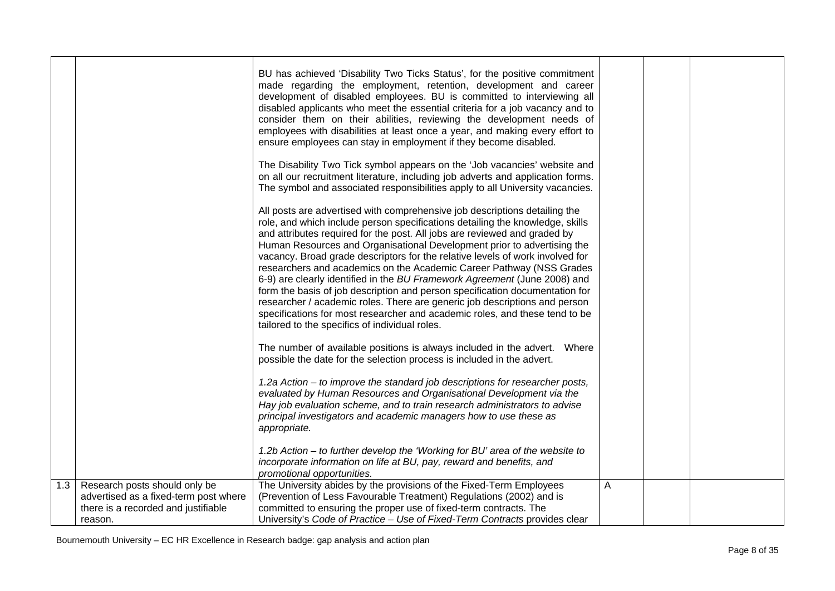|     |                                                                              | BU has achieved 'Disability Two Ticks Status', for the positive commitment<br>made regarding the employment, retention, development and career<br>development of disabled employees. BU is committed to interviewing all                                                                                            |   |  |
|-----|------------------------------------------------------------------------------|---------------------------------------------------------------------------------------------------------------------------------------------------------------------------------------------------------------------------------------------------------------------------------------------------------------------|---|--|
|     |                                                                              | disabled applicants who meet the essential criteria for a job vacancy and to<br>consider them on their abilities, reviewing the development needs of<br>employees with disabilities at least once a year, and making every effort to<br>ensure employees can stay in employment if they become disabled.            |   |  |
|     |                                                                              |                                                                                                                                                                                                                                                                                                                     |   |  |
|     |                                                                              | The Disability Two Tick symbol appears on the 'Job vacancies' website and<br>on all our recruitment literature, including job adverts and application forms.<br>The symbol and associated responsibilities apply to all University vacancies.                                                                       |   |  |
|     |                                                                              | All posts are advertised with comprehensive job descriptions detailing the<br>role, and which include person specifications detailing the knowledge, skills<br>and attributes required for the post. All jobs are reviewed and graded by<br>Human Resources and Organisational Development prior to advertising the |   |  |
|     |                                                                              | vacancy. Broad grade descriptors for the relative levels of work involved for<br>researchers and academics on the Academic Career Pathway (NSS Grades<br>6-9) are clearly identified in the BU Framework Agreement (June 2008) and                                                                                  |   |  |
|     |                                                                              | form the basis of job description and person specification documentation for<br>researcher / academic roles. There are generic job descriptions and person<br>specifications for most researcher and academic roles, and these tend to be<br>tailored to the specifics of individual roles.                         |   |  |
|     |                                                                              | The number of available positions is always included in the advert.  Where<br>possible the date for the selection process is included in the advert.                                                                                                                                                                |   |  |
|     |                                                                              | 1.2a Action – to improve the standard job descriptions for researcher posts,<br>evaluated by Human Resources and Organisational Development via the                                                                                                                                                                 |   |  |
|     |                                                                              | Hay job evaluation scheme, and to train research administrators to advise<br>principal investigators and academic managers how to use these as<br>appropriate.                                                                                                                                                      |   |  |
|     |                                                                              | 1.2b Action - to further develop the 'Working for BU' area of the website to<br>incorporate information on life at BU, pay, reward and benefits, and<br>promotional opportunities.                                                                                                                                  |   |  |
| 1.3 | Research posts should only be                                                | The University abides by the provisions of the Fixed-Term Employees                                                                                                                                                                                                                                                 | A |  |
|     | advertised as a fixed-term post where<br>there is a recorded and justifiable | (Prevention of Less Favourable Treatment) Regulations (2002) and is<br>committed to ensuring the proper use of fixed-term contracts. The                                                                                                                                                                            |   |  |
|     | reason.                                                                      | University's Code of Practice - Use of Fixed-Term Contracts provides clear                                                                                                                                                                                                                                          |   |  |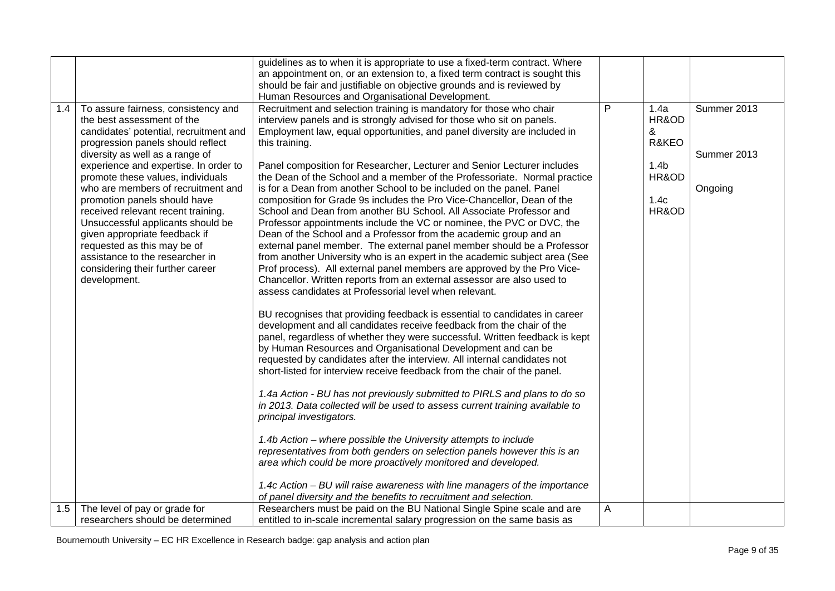|     |                                        | guidelines as to when it is appropriate to use a fixed-term contract. Where  |   |                  |             |
|-----|----------------------------------------|------------------------------------------------------------------------------|---|------------------|-------------|
|     |                                        | an appointment on, or an extension to, a fixed term contract is sought this  |   |                  |             |
|     |                                        | should be fair and justifiable on objective grounds and is reviewed by       |   |                  |             |
|     |                                        | Human Resources and Organisational Development.                              |   |                  |             |
| 1.4 | To assure fairness, consistency and    | Recruitment and selection training is mandatory for those who chair          | P | 1.4a             | Summer 2013 |
|     | the best assessment of the             | interview panels and is strongly advised for those who sit on panels.        |   | HR&OD            |             |
|     | candidates' potential, recruitment and | Employment law, equal opportunities, and panel diversity are included in     |   | &                |             |
|     | progression panels should reflect      | this training.                                                               |   | R&KEO            |             |
|     | diversity as well as a range of        |                                                                              |   |                  | Summer 2013 |
|     | experience and expertise. In order to  | Panel composition for Researcher, Lecturer and Senior Lecturer includes      |   | 1.4 <sub>b</sub> |             |
|     | promote these values, individuals      | the Dean of the School and a member of the Professoriate. Normal practice    |   | HR&OD            |             |
|     | who are members of recruitment and     | is for a Dean from another School to be included on the panel. Panel         |   |                  | Ongoing     |
|     | promotion panels should have           | composition for Grade 9s includes the Pro Vice-Chancellor, Dean of the       |   | 1.4c             |             |
|     | received relevant recent training.     | School and Dean from another BU School. All Associate Professor and          |   | HR&OD            |             |
|     | Unsuccessful applicants should be      | Professor appointments include the VC or nominee, the PVC or DVC, the        |   |                  |             |
|     | given appropriate feedback if          | Dean of the School and a Professor from the academic group and an            |   |                  |             |
|     | requested as this may be of            | external panel member. The external panel member should be a Professor       |   |                  |             |
|     | assistance to the researcher in        |                                                                              |   |                  |             |
|     |                                        | from another University who is an expert in the academic subject area (See   |   |                  |             |
|     | considering their further career       | Prof process). All external panel members are approved by the Pro Vice-      |   |                  |             |
|     | development.                           | Chancellor. Written reports from an external assessor are also used to       |   |                  |             |
|     |                                        | assess candidates at Professorial level when relevant.                       |   |                  |             |
|     |                                        | BU recognises that providing feedback is essential to candidates in career   |   |                  |             |
|     |                                        | development and all candidates receive feedback from the chair of the        |   |                  |             |
|     |                                        | panel, regardless of whether they were successful. Written feedback is kept  |   |                  |             |
|     |                                        | by Human Resources and Organisational Development and can be                 |   |                  |             |
|     |                                        |                                                                              |   |                  |             |
|     |                                        | requested by candidates after the interview. All internal candidates not     |   |                  |             |
|     |                                        | short-listed for interview receive feedback from the chair of the panel.     |   |                  |             |
|     |                                        | 1.4a Action - BU has not previously submitted to PIRLS and plans to do so    |   |                  |             |
|     |                                        | in 2013. Data collected will be used to assess current training available to |   |                  |             |
|     |                                        | principal investigators.                                                     |   |                  |             |
|     |                                        |                                                                              |   |                  |             |
|     |                                        | 1.4b Action – where possible the University attempts to include              |   |                  |             |
|     |                                        | representatives from both genders on selection panels however this is an     |   |                  |             |
|     |                                        | area which could be more proactively monitored and developed.                |   |                  |             |
|     |                                        |                                                                              |   |                  |             |
|     |                                        | 1.4c Action – BU will raise awareness with line managers of the importance   |   |                  |             |
|     |                                        | of panel diversity and the benefits to recruitment and selection.            |   |                  |             |
| 1.5 | The level of pay or grade for          | Researchers must be paid on the BU National Single Spine scale and are       | A |                  |             |
|     | researchers should be determined       | entitled to in-scale incremental salary progression on the same basis as     |   |                  |             |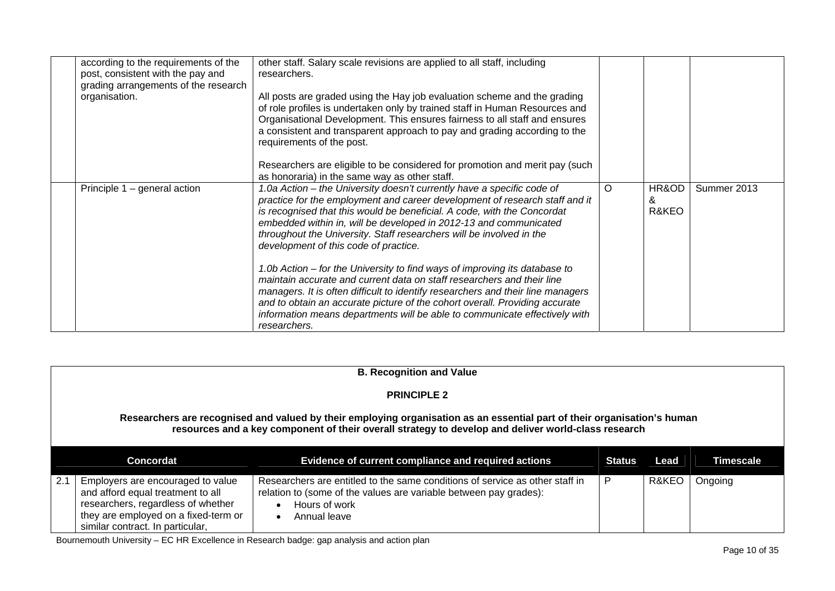| according to the requirements of the<br>post, consistent with the pay and<br>grading arrangements of the research<br>organisation. | other staff. Salary scale revisions are applied to all staff, including<br>researchers.<br>All posts are graded using the Hay job evaluation scheme and the grading<br>of role profiles is undertaken only by trained staff in Human Resources and<br>Organisational Development. This ensures fairness to all staff and ensures<br>a consistent and transparent approach to pay and grading according to the<br>requirements of the post.<br>Researchers are eligible to be considered for promotion and merit pay (such<br>as honoraria) in the same way as other staff.                                                                                                                                                                                                                                                                     |          |                     |             |
|------------------------------------------------------------------------------------------------------------------------------------|------------------------------------------------------------------------------------------------------------------------------------------------------------------------------------------------------------------------------------------------------------------------------------------------------------------------------------------------------------------------------------------------------------------------------------------------------------------------------------------------------------------------------------------------------------------------------------------------------------------------------------------------------------------------------------------------------------------------------------------------------------------------------------------------------------------------------------------------|----------|---------------------|-------------|
| Principle 1 – general action                                                                                                       | 1.0a Action – the University doesn't currently have a specific code of<br>practice for the employment and career development of research staff and it<br>is recognised that this would be beneficial. A code, with the Concordat<br>embedded within in, will be developed in 2012-13 and communicated<br>throughout the University. Staff researchers will be involved in the<br>development of this code of practice.<br>1.0b Action – for the University to find ways of improving its database to<br>maintain accurate and current data on staff researchers and their line<br>managers. It is often difficult to identify researchers and their line managers<br>and to obtain an accurate picture of the cohort overall. Providing accurate<br>information means departments will be able to communicate effectively with<br>researchers. | $\Omega$ | HR&OD<br>&<br>R&KEO | Summer 2013 |

|     | <b>B. Recognition and Value</b>                                                                                                                                                                                                 |                                                                                                                                                                                    |        |       |                  |  |  |
|-----|---------------------------------------------------------------------------------------------------------------------------------------------------------------------------------------------------------------------------------|------------------------------------------------------------------------------------------------------------------------------------------------------------------------------------|--------|-------|------------------|--|--|
|     | <b>PRINCIPLE 2</b>                                                                                                                                                                                                              |                                                                                                                                                                                    |        |       |                  |  |  |
|     | Researchers are recognised and valued by their employing organisation as an essential part of their organisation's human<br>resources and a key component of their overall strategy to develop and deliver world-class research |                                                                                                                                                                                    |        |       |                  |  |  |
|     | <b>Concordat</b>                                                                                                                                                                                                                | <b>Evidence of current compliance and required actions</b>                                                                                                                         | Status | Lead  | <b>Timescale</b> |  |  |
| 2.1 | Employers are encouraged to value<br>and afford equal treatment to all<br>researchers, regardless of whether<br>they are employed on a fixed-term or<br>similar contract. In particular,                                        | Researchers are entitled to the same conditions of service as other staff in<br>relation to (some of the values are variable between pay grades):<br>Hours of work<br>Annual leave | P      | R&KEO | Ongoing          |  |  |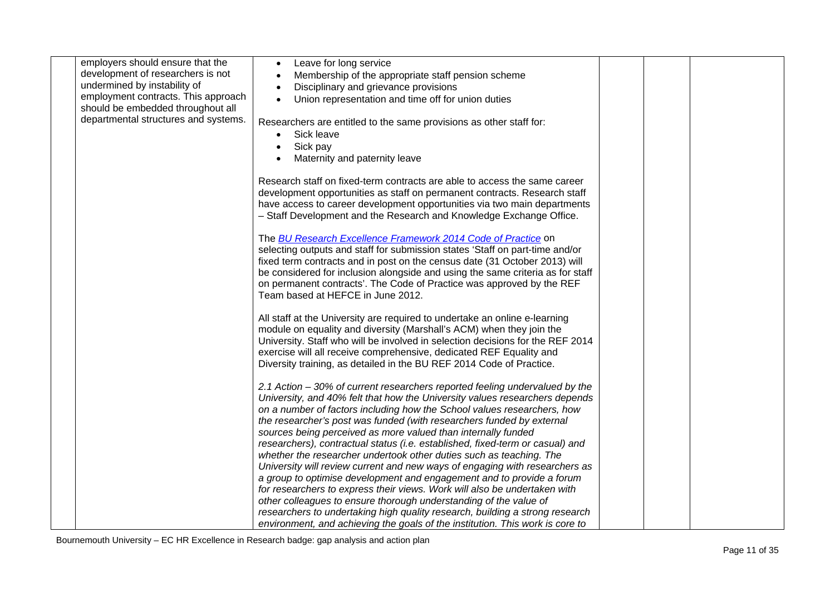| employers should ensure that the     | Leave for long service<br>$\bullet$                                                                                                                                                                                                                                                                                                                                                                                                                                                                                                                                                                                                                                                              |  |  |
|--------------------------------------|--------------------------------------------------------------------------------------------------------------------------------------------------------------------------------------------------------------------------------------------------------------------------------------------------------------------------------------------------------------------------------------------------------------------------------------------------------------------------------------------------------------------------------------------------------------------------------------------------------------------------------------------------------------------------------------------------|--|--|
| development of researchers is not    | Membership of the appropriate staff pension scheme                                                                                                                                                                                                                                                                                                                                                                                                                                                                                                                                                                                                                                               |  |  |
| undermined by instability of         | Disciplinary and grievance provisions                                                                                                                                                                                                                                                                                                                                                                                                                                                                                                                                                                                                                                                            |  |  |
| employment contracts. This approach  | Union representation and time off for union duties                                                                                                                                                                                                                                                                                                                                                                                                                                                                                                                                                                                                                                               |  |  |
| should be embedded throughout all    |                                                                                                                                                                                                                                                                                                                                                                                                                                                                                                                                                                                                                                                                                                  |  |  |
| departmental structures and systems. | Researchers are entitled to the same provisions as other staff for:                                                                                                                                                                                                                                                                                                                                                                                                                                                                                                                                                                                                                              |  |  |
|                                      | Sick leave<br>$\bullet$                                                                                                                                                                                                                                                                                                                                                                                                                                                                                                                                                                                                                                                                          |  |  |
|                                      | Sick pay<br>$\bullet$                                                                                                                                                                                                                                                                                                                                                                                                                                                                                                                                                                                                                                                                            |  |  |
|                                      | Maternity and paternity leave                                                                                                                                                                                                                                                                                                                                                                                                                                                                                                                                                                                                                                                                    |  |  |
|                                      |                                                                                                                                                                                                                                                                                                                                                                                                                                                                                                                                                                                                                                                                                                  |  |  |
|                                      | Research staff on fixed-term contracts are able to access the same career                                                                                                                                                                                                                                                                                                                                                                                                                                                                                                                                                                                                                        |  |  |
|                                      | development opportunities as staff on permanent contracts. Research staff                                                                                                                                                                                                                                                                                                                                                                                                                                                                                                                                                                                                                        |  |  |
|                                      | have access to career development opportunities via two main departments                                                                                                                                                                                                                                                                                                                                                                                                                                                                                                                                                                                                                         |  |  |
|                                      | - Staff Development and the Research and Knowledge Exchange Office.                                                                                                                                                                                                                                                                                                                                                                                                                                                                                                                                                                                                                              |  |  |
|                                      |                                                                                                                                                                                                                                                                                                                                                                                                                                                                                                                                                                                                                                                                                                  |  |  |
|                                      | The <b>BU Research Excellence Framework 2014 Code of Practice</b> on<br>selecting outputs and staff for submission states 'Staff on part-time and/or                                                                                                                                                                                                                                                                                                                                                                                                                                                                                                                                             |  |  |
|                                      | fixed term contracts and in post on the census date (31 October 2013) will                                                                                                                                                                                                                                                                                                                                                                                                                                                                                                                                                                                                                       |  |  |
|                                      | be considered for inclusion alongside and using the same criteria as for staff                                                                                                                                                                                                                                                                                                                                                                                                                                                                                                                                                                                                                   |  |  |
|                                      | on permanent contracts'. The Code of Practice was approved by the REF                                                                                                                                                                                                                                                                                                                                                                                                                                                                                                                                                                                                                            |  |  |
|                                      | Team based at HEFCE in June 2012.                                                                                                                                                                                                                                                                                                                                                                                                                                                                                                                                                                                                                                                                |  |  |
|                                      |                                                                                                                                                                                                                                                                                                                                                                                                                                                                                                                                                                                                                                                                                                  |  |  |
|                                      | All staff at the University are required to undertake an online e-learning                                                                                                                                                                                                                                                                                                                                                                                                                                                                                                                                                                                                                       |  |  |
|                                      | module on equality and diversity (Marshall's ACM) when they join the                                                                                                                                                                                                                                                                                                                                                                                                                                                                                                                                                                                                                             |  |  |
|                                      | University. Staff who will be involved in selection decisions for the REF 2014                                                                                                                                                                                                                                                                                                                                                                                                                                                                                                                                                                                                                   |  |  |
|                                      | exercise will all receive comprehensive, dedicated REF Equality and                                                                                                                                                                                                                                                                                                                                                                                                                                                                                                                                                                                                                              |  |  |
|                                      | Diversity training, as detailed in the BU REF 2014 Code of Practice.                                                                                                                                                                                                                                                                                                                                                                                                                                                                                                                                                                                                                             |  |  |
|                                      |                                                                                                                                                                                                                                                                                                                                                                                                                                                                                                                                                                                                                                                                                                  |  |  |
|                                      | 2.1 Action - 30% of current researchers reported feeling undervalued by the                                                                                                                                                                                                                                                                                                                                                                                                                                                                                                                                                                                                                      |  |  |
|                                      | University, and 40% felt that how the University values researchers depends                                                                                                                                                                                                                                                                                                                                                                                                                                                                                                                                                                                                                      |  |  |
|                                      | on a number of factors including how the School values researchers, how                                                                                                                                                                                                                                                                                                                                                                                                                                                                                                                                                                                                                          |  |  |
|                                      | the researcher's post was funded (with researchers funded by external                                                                                                                                                                                                                                                                                                                                                                                                                                                                                                                                                                                                                            |  |  |
|                                      |                                                                                                                                                                                                                                                                                                                                                                                                                                                                                                                                                                                                                                                                                                  |  |  |
|                                      |                                                                                                                                                                                                                                                                                                                                                                                                                                                                                                                                                                                                                                                                                                  |  |  |
|                                      |                                                                                                                                                                                                                                                                                                                                                                                                                                                                                                                                                                                                                                                                                                  |  |  |
|                                      |                                                                                                                                                                                                                                                                                                                                                                                                                                                                                                                                                                                                                                                                                                  |  |  |
|                                      |                                                                                                                                                                                                                                                                                                                                                                                                                                                                                                                                                                                                                                                                                                  |  |  |
|                                      |                                                                                                                                                                                                                                                                                                                                                                                                                                                                                                                                                                                                                                                                                                  |  |  |
|                                      |                                                                                                                                                                                                                                                                                                                                                                                                                                                                                                                                                                                                                                                                                                  |  |  |
|                                      |                                                                                                                                                                                                                                                                                                                                                                                                                                                                                                                                                                                                                                                                                                  |  |  |
|                                      | sources being perceived as more valued than internally funded<br>researchers), contractual status (i.e. established, fixed-term or casual) and<br>whether the researcher undertook other duties such as teaching. The<br>University will review current and new ways of engaging with researchers as<br>a group to optimise development and engagement and to provide a forum<br>for researchers to express their views. Work will also be undertaken with<br>other colleagues to ensure thorough understanding of the value of<br>researchers to undertaking high quality research, building a strong research<br>environment, and achieving the goals of the institution. This work is core to |  |  |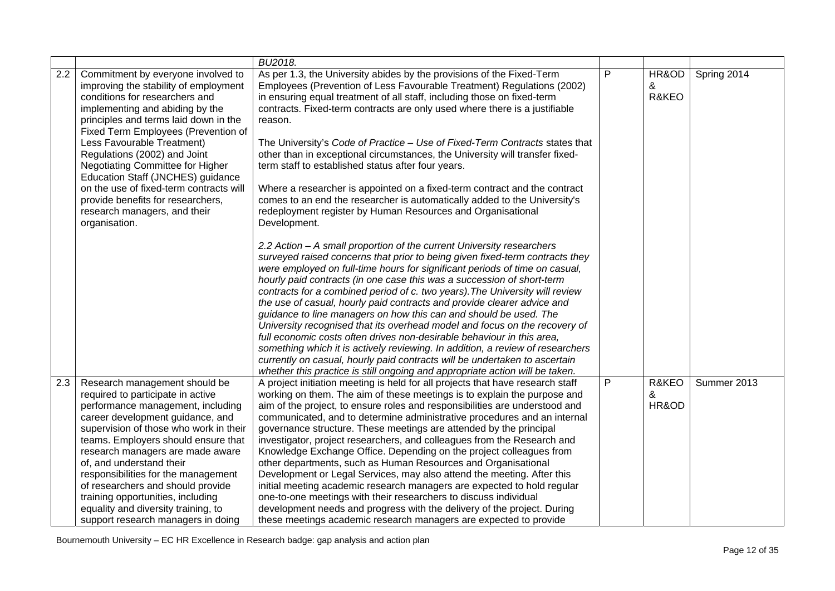|     |                                                                                                                                                                                                                                                                                                                                                                                                                                                                                                          | BU2018.                                                                                                                                                                                                                                                                                                                                                                                                                                                                                                                                                                                                                                                                                                                                                                                                                                                                                                                                                                                                                                                                                                                                                                                                                                                                                                                                                                                                                                                                                                                                                                                                                                                                                                                                     |   |                     |             |
|-----|----------------------------------------------------------------------------------------------------------------------------------------------------------------------------------------------------------------------------------------------------------------------------------------------------------------------------------------------------------------------------------------------------------------------------------------------------------------------------------------------------------|---------------------------------------------------------------------------------------------------------------------------------------------------------------------------------------------------------------------------------------------------------------------------------------------------------------------------------------------------------------------------------------------------------------------------------------------------------------------------------------------------------------------------------------------------------------------------------------------------------------------------------------------------------------------------------------------------------------------------------------------------------------------------------------------------------------------------------------------------------------------------------------------------------------------------------------------------------------------------------------------------------------------------------------------------------------------------------------------------------------------------------------------------------------------------------------------------------------------------------------------------------------------------------------------------------------------------------------------------------------------------------------------------------------------------------------------------------------------------------------------------------------------------------------------------------------------------------------------------------------------------------------------------------------------------------------------------------------------------------------------|---|---------------------|-------------|
| 2.2 | Commitment by everyone involved to<br>improving the stability of employment<br>conditions for researchers and<br>implementing and abiding by the<br>principles and terms laid down in the<br>Fixed Term Employees (Prevention of<br>Less Favourable Treatment)<br>Regulations (2002) and Joint<br>Negotiating Committee for Higher<br>Education Staff (JNCHES) guidance<br>on the use of fixed-term contracts will<br>provide benefits for researchers,<br>research managers, and their<br>organisation. | As per 1.3, the University abides by the provisions of the Fixed-Term<br>Employees (Prevention of Less Favourable Treatment) Regulations (2002)<br>in ensuring equal treatment of all staff, including those on fixed-term<br>contracts. Fixed-term contracts are only used where there is a justifiable<br>reason.<br>The University's Code of Practice - Use of Fixed-Term Contracts states that<br>other than in exceptional circumstances, the University will transfer fixed-<br>term staff to established status after four years.<br>Where a researcher is appointed on a fixed-term contract and the contract<br>comes to an end the researcher is automatically added to the University's<br>redeployment register by Human Resources and Organisational<br>Development.<br>2.2 Action - A small proportion of the current University researchers<br>surveyed raised concerns that prior to being given fixed-term contracts they<br>were employed on full-time hours for significant periods of time on casual,<br>hourly paid contracts (in one case this was a succession of short-term<br>contracts for a combined period of c. two years). The University will review<br>the use of casual, hourly paid contracts and provide clearer advice and<br>guidance to line managers on how this can and should be used. The<br>University recognised that its overhead model and focus on the recovery of<br>full economic costs often drives non-desirable behaviour in this area,<br>something which it is actively reviewing. In addition, a review of researchers<br>currently on casual, hourly paid contracts will be undertaken to ascertain<br>whether this practice is still ongoing and appropriate action will be taken. | P | HR&OD<br>&<br>R&KEO | Spring 2014 |
| 2.3 | Research management should be<br>required to participate in active<br>performance management, including<br>career development guidance, and<br>supervision of those who work in their<br>teams. Employers should ensure that<br>research managers are made aware<br>of, and understand their<br>responsibilities for the management<br>of researchers and should provide<br>training opportunities, including<br>equality and diversity training, to<br>support research managers in doing               | A project initiation meeting is held for all projects that have research staff<br>working on them. The aim of these meetings is to explain the purpose and<br>aim of the project, to ensure roles and responsibilities are understood and<br>communicated, and to determine administrative procedures and an internal<br>governance structure. These meetings are attended by the principal<br>investigator, project researchers, and colleagues from the Research and<br>Knowledge Exchange Office. Depending on the project colleagues from<br>other departments, such as Human Resources and Organisational<br>Development or Legal Services, may also attend the meeting. After this<br>initial meeting academic research managers are expected to hold regular<br>one-to-one meetings with their researchers to discuss individual<br>development needs and progress with the delivery of the project. During<br>these meetings academic research managers are expected to provide                                                                                                                                                                                                                                                                                                                                                                                                                                                                                                                                                                                                                                                                                                                                                     | P | R&KEO<br>&<br>HR&OD | Summer 2013 |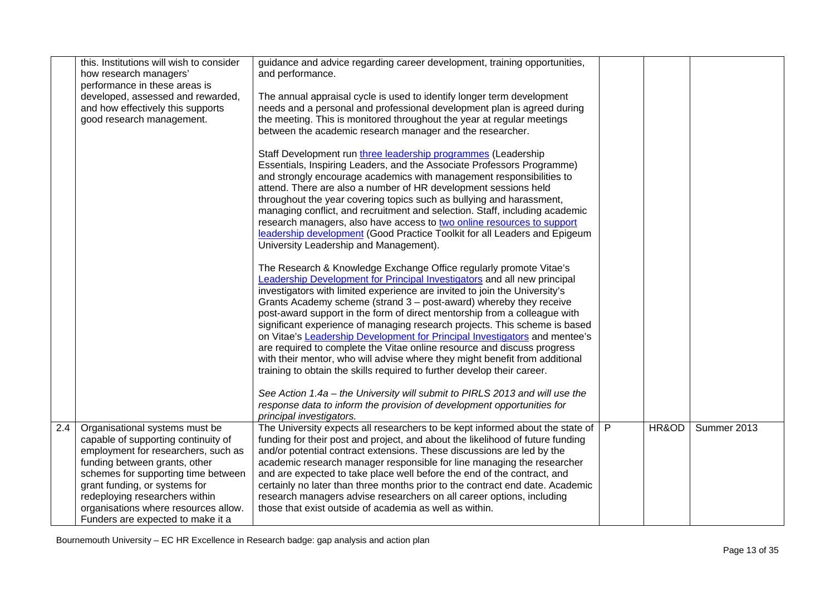|     | this. Institutions will wish to consider<br>how research managers'<br>performance in these areas is<br>developed, assessed and rewarded,<br>and how effectively this supports<br>good research management.                                                                                                                           | guidance and advice regarding career development, training opportunities,<br>and performance.<br>The annual appraisal cycle is used to identify longer term development<br>needs and a personal and professional development plan is agreed during<br>the meeting. This is monitored throughout the year at regular meetings                                                                                                                                                                                                                                                                                                                                                                                                                                                                                                                                                                                                                                          |   |       |             |
|-----|--------------------------------------------------------------------------------------------------------------------------------------------------------------------------------------------------------------------------------------------------------------------------------------------------------------------------------------|-----------------------------------------------------------------------------------------------------------------------------------------------------------------------------------------------------------------------------------------------------------------------------------------------------------------------------------------------------------------------------------------------------------------------------------------------------------------------------------------------------------------------------------------------------------------------------------------------------------------------------------------------------------------------------------------------------------------------------------------------------------------------------------------------------------------------------------------------------------------------------------------------------------------------------------------------------------------------|---|-------|-------------|
|     |                                                                                                                                                                                                                                                                                                                                      | between the academic research manager and the researcher.<br>Staff Development run three leadership programmes (Leadership<br>Essentials, Inspiring Leaders, and the Associate Professors Programme)<br>and strongly encourage academics with management responsibilities to<br>attend. There are also a number of HR development sessions held<br>throughout the year covering topics such as bullying and harassment,<br>managing conflict, and recruitment and selection. Staff, including academic<br>research managers, also have access to two online resources to support<br>leadership development (Good Practice Toolkit for all Leaders and Epigeum<br>University Leadership and Management).                                                                                                                                                                                                                                                               |   |       |             |
|     |                                                                                                                                                                                                                                                                                                                                      | The Research & Knowledge Exchange Office regularly promote Vitae's<br>Leadership Development for Principal Investigators and all new principal<br>investigators with limited experience are invited to join the University's<br>Grants Academy scheme (strand 3 – post-award) whereby they receive<br>post-award support in the form of direct mentorship from a colleague with<br>significant experience of managing research projects. This scheme is based<br>on Vitae's Leadership Development for Principal Investigators and mentee's<br>are required to complete the Vitae online resource and discuss progress<br>with their mentor, who will advise where they might benefit from additional<br>training to obtain the skills required to further develop their career.<br>See Action 1.4a – the University will submit to PIRLS 2013 and will use the<br>response data to inform the provision of development opportunities for<br>principal investigators. |   |       |             |
| 2.4 | Organisational systems must be<br>capable of supporting continuity of<br>employment for researchers, such as<br>funding between grants, other<br>schemes for supporting time between<br>grant funding, or systems for<br>redeploying researchers within<br>organisations where resources allow.<br>Funders are expected to make it a | The University expects all researchers to be kept informed about the state of  <br>funding for their post and project, and about the likelihood of future funding<br>and/or potential contract extensions. These discussions are led by the<br>academic research manager responsible for line managing the researcher<br>and are expected to take place well before the end of the contract, and<br>certainly no later than three months prior to the contract end date. Academic<br>research managers advise researchers on all career options, including<br>those that exist outside of academia as well as within.                                                                                                                                                                                                                                                                                                                                                 | P | HR&OD | Summer 2013 |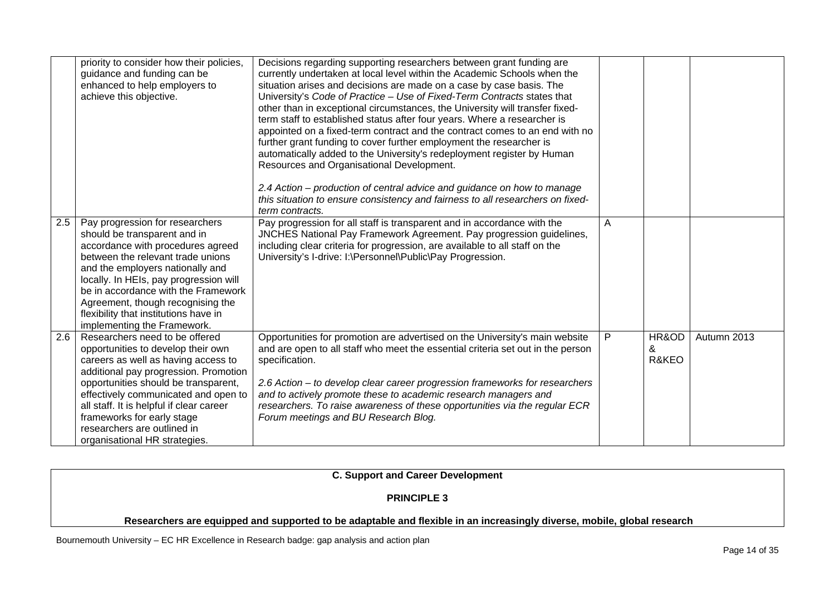|     | priority to consider how their policies,<br>guidance and funding can be<br>enhanced to help employers to<br>achieve this objective.                                                                                                                                                                                                                                            | Decisions regarding supporting researchers between grant funding are<br>currently undertaken at local level within the Academic Schools when the<br>situation arises and decisions are made on a case by case basis. The<br>University's Code of Practice - Use of Fixed-Term Contracts states that<br>other than in exceptional circumstances, the University will transfer fixed-<br>term staff to established status after four years. Where a researcher is<br>appointed on a fixed-term contract and the contract comes to an end with no<br>further grant funding to cover further employment the researcher is<br>automatically added to the University's redeployment register by Human<br>Resources and Organisational Development. |   |                     |             |
|-----|--------------------------------------------------------------------------------------------------------------------------------------------------------------------------------------------------------------------------------------------------------------------------------------------------------------------------------------------------------------------------------|----------------------------------------------------------------------------------------------------------------------------------------------------------------------------------------------------------------------------------------------------------------------------------------------------------------------------------------------------------------------------------------------------------------------------------------------------------------------------------------------------------------------------------------------------------------------------------------------------------------------------------------------------------------------------------------------------------------------------------------------|---|---------------------|-------------|
|     |                                                                                                                                                                                                                                                                                                                                                                                | 2.4 Action – production of central advice and guidance on how to manage<br>this situation to ensure consistency and fairness to all researchers on fixed-<br>term contracts.                                                                                                                                                                                                                                                                                                                                                                                                                                                                                                                                                                 |   |                     |             |
| 2.5 | Pay progression for researchers<br>should be transparent and in<br>accordance with procedures agreed<br>between the relevant trade unions<br>and the employers nationally and<br>locally. In HEIs, pay progression will<br>be in accordance with the Framework<br>Agreement, though recognising the<br>flexibility that institutions have in<br>implementing the Framework.    | Pay progression for all staff is transparent and in accordance with the<br>JNCHES National Pay Framework Agreement. Pay progression guidelines,<br>including clear criteria for progression, are available to all staff on the<br>University's I-drive: I:\Personnel\Public\Pay Progression.                                                                                                                                                                                                                                                                                                                                                                                                                                                 | A |                     |             |
| 2.6 | Researchers need to be offered<br>opportunities to develop their own<br>careers as well as having access to<br>additional pay progression. Promotion<br>opportunities should be transparent,<br>effectively communicated and open to<br>all staff. It is helpful if clear career<br>frameworks for early stage<br>researchers are outlined in<br>organisational HR strategies. | Opportunities for promotion are advertised on the University's main website<br>and are open to all staff who meet the essential criteria set out in the person<br>specification.<br>2.6 Action – to develop clear career progression frameworks for researchers<br>and to actively promote these to academic research managers and<br>researchers. To raise awareness of these opportunities via the regular ECR<br>Forum meetings and BU Research Blog.                                                                                                                                                                                                                                                                                     | P | HR&OD<br>&<br>R&KEO | Autumn 2013 |

**C. Support and Career Development** 

#### **PRINCIPLE 3**

#### **Researchers are equipped and supported to be adaptable and flexible in an increasingly diverse, mobile, global research**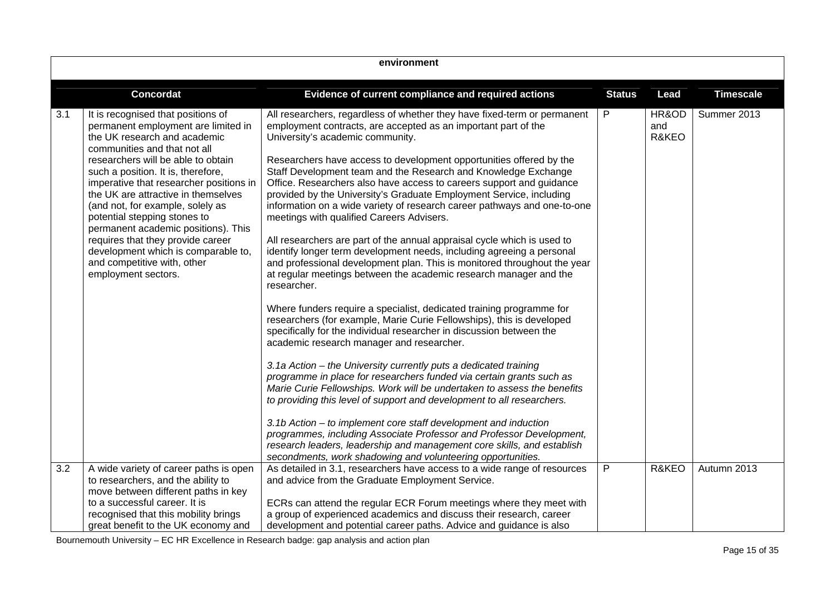| environment |                                                                                                                                                                                                                                                                                                                                                                                                                                                                                                                                                      |                                                                                                                                                                                                                                                                                                                                                                                                                                                                                                                                                                                                                                                                                                                                                                                                                                                                                                                     |               |                       |                  |  |
|-------------|------------------------------------------------------------------------------------------------------------------------------------------------------------------------------------------------------------------------------------------------------------------------------------------------------------------------------------------------------------------------------------------------------------------------------------------------------------------------------------------------------------------------------------------------------|---------------------------------------------------------------------------------------------------------------------------------------------------------------------------------------------------------------------------------------------------------------------------------------------------------------------------------------------------------------------------------------------------------------------------------------------------------------------------------------------------------------------------------------------------------------------------------------------------------------------------------------------------------------------------------------------------------------------------------------------------------------------------------------------------------------------------------------------------------------------------------------------------------------------|---------------|-----------------------|------------------|--|
|             | <b>Concordat</b>                                                                                                                                                                                                                                                                                                                                                                                                                                                                                                                                     | Evidence of current compliance and required actions                                                                                                                                                                                                                                                                                                                                                                                                                                                                                                                                                                                                                                                                                                                                                                                                                                                                 | <b>Status</b> | Lead                  | <b>Timescale</b> |  |
| 3.1         | It is recognised that positions of<br>permanent employment are limited in<br>the UK research and academic<br>communities and that not all<br>researchers will be able to obtain<br>such a position. It is, therefore,<br>imperative that researcher positions in<br>the UK are attractive in themselves<br>(and not, for example, solely as<br>potential stepping stones to<br>permanent academic positions). This<br>requires that they provide career<br>development which is comparable to,<br>and competitive with, other<br>employment sectors. | All researchers, regardless of whether they have fixed-term or permanent<br>employment contracts, are accepted as an important part of the<br>University's academic community.<br>Researchers have access to development opportunities offered by the<br>Staff Development team and the Research and Knowledge Exchange<br>Office. Researchers also have access to careers support and guidance<br>provided by the University's Graduate Employment Service, including<br>information on a wide variety of research career pathways and one-to-one<br>meetings with qualified Careers Advisers.<br>All researchers are part of the annual appraisal cycle which is used to<br>identify longer term development needs, including agreeing a personal<br>and professional development plan. This is monitored throughout the year<br>at regular meetings between the academic research manager and the<br>researcher. | P             | HR&OD<br>and<br>R&KEO | Summer 2013      |  |
|             |                                                                                                                                                                                                                                                                                                                                                                                                                                                                                                                                                      | Where funders require a specialist, dedicated training programme for<br>researchers (for example, Marie Curie Fellowships), this is developed<br>specifically for the individual researcher in discussion between the<br>academic research manager and researcher.<br>3.1a Action – the University currently puts a dedicated training<br>programme in place for researchers funded via certain grants such as<br>Marie Curie Fellowships. Work will be undertaken to assess the benefits<br>to providing this level of support and development to all researchers.<br>3.1b Action – to implement core staff development and induction<br>programmes, including Associate Professor and Professor Development,<br>research leaders, leadership and management core skills, and establish<br>secondments, work shadowing and volunteering opportunities.                                                             |               |                       |                  |  |
| 3.2         | A wide variety of career paths is open<br>to researchers, and the ability to<br>move between different paths in key<br>to a successful career. It is<br>recognised that this mobility brings<br>great benefit to the UK economy and                                                                                                                                                                                                                                                                                                                  | As detailed in 3.1, researchers have access to a wide range of resources<br>and advice from the Graduate Employment Service.<br>ECRs can attend the regular ECR Forum meetings where they meet with<br>a group of experienced academics and discuss their research, career<br>development and potential career paths. Advice and guidance is also                                                                                                                                                                                                                                                                                                                                                                                                                                                                                                                                                                   | $\mathsf{P}$  | <b>R&amp;KEO</b>      | Autumn 2013      |  |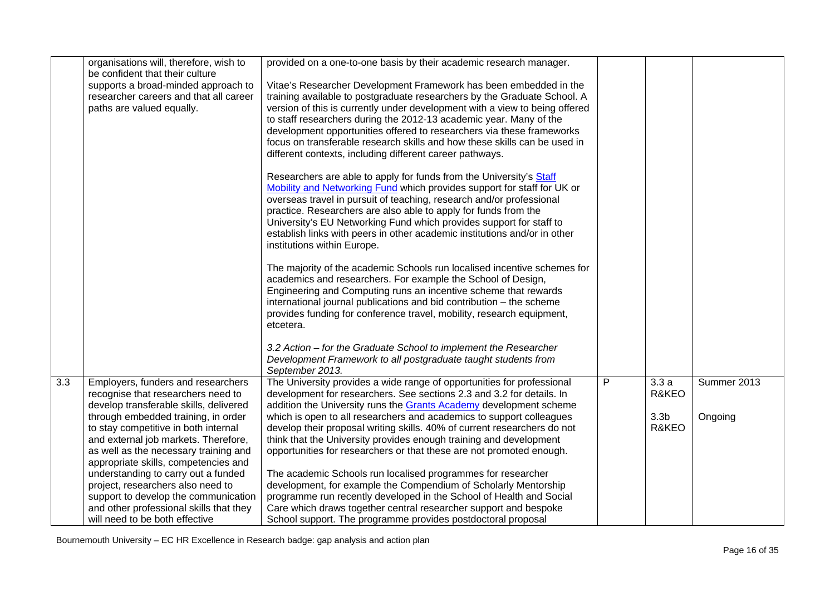|     | organisations will, therefore, wish to                                      | provided on a one-to-one basis by their academic research manager.          |   |                  |             |
|-----|-----------------------------------------------------------------------------|-----------------------------------------------------------------------------|---|------------------|-------------|
|     | be confident that their culture<br>supports a broad-minded approach to      | Vitae's Researcher Development Framework has been embedded in the           |   |                  |             |
|     | researcher careers and that all career                                      | training available to postgraduate researchers by the Graduate School. A    |   |                  |             |
|     | paths are valued equally.                                                   | version of this is currently under development with a view to being offered |   |                  |             |
|     |                                                                             | to staff researchers during the 2012-13 academic year. Many of the          |   |                  |             |
|     |                                                                             | development opportunities offered to researchers via these frameworks       |   |                  |             |
|     |                                                                             | focus on transferable research skills and how these skills can be used in   |   |                  |             |
|     |                                                                             | different contexts, including different career pathways.                    |   |                  |             |
|     |                                                                             |                                                                             |   |                  |             |
|     |                                                                             | Researchers are able to apply for funds from the University's Staff         |   |                  |             |
|     |                                                                             | Mobility and Networking Fund which provides support for staff for UK or     |   |                  |             |
|     |                                                                             | overseas travel in pursuit of teaching, research and/or professional        |   |                  |             |
|     |                                                                             | practice. Researchers are also able to apply for funds from the             |   |                  |             |
|     |                                                                             | University's EU Networking Fund which provides support for staff to         |   |                  |             |
|     |                                                                             | establish links with peers in other academic institutions and/or in other   |   |                  |             |
|     |                                                                             | institutions within Europe.                                                 |   |                  |             |
|     |                                                                             | The majority of the academic Schools run localised incentive schemes for    |   |                  |             |
|     |                                                                             | academics and researchers. For example the School of Design,                |   |                  |             |
|     |                                                                             | Engineering and Computing runs an incentive scheme that rewards             |   |                  |             |
|     |                                                                             | international journal publications and bid contribution - the scheme        |   |                  |             |
|     |                                                                             | provides funding for conference travel, mobility, research equipment,       |   |                  |             |
|     |                                                                             | etcetera.                                                                   |   |                  |             |
|     |                                                                             |                                                                             |   |                  |             |
|     |                                                                             | 3.2 Action – for the Graduate School to implement the Researcher            |   |                  |             |
|     |                                                                             | Development Framework to all postgraduate taught students from              |   |                  |             |
|     |                                                                             | September 2013.                                                             |   |                  |             |
| 3.3 | Employers, funders and researchers                                          | The University provides a wide range of opportunities for professional      | P | 3.3a             | Summer 2013 |
|     | recognise that researchers need to                                          | development for researchers. See sections 2.3 and 3.2 for details. In       |   | R&KEO            |             |
|     | develop transferable skills, delivered                                      | addition the University runs the Grants Academy development scheme          |   |                  |             |
|     | through embedded training, in order                                         | which is open to all researchers and academics to support colleagues        |   | 3.3 <sub>b</sub> | Ongoing     |
|     | to stay competitive in both internal                                        | develop their proposal writing skills. 40% of current researchers do not    |   | R&KEO            |             |
|     | and external job markets. Therefore,                                        | think that the University provides enough training and development          |   |                  |             |
|     | as well as the necessary training and                                       | opportunities for researchers or that these are not promoted enough.        |   |                  |             |
|     | appropriate skills, competencies and<br>understanding to carry out a funded | The academic Schools run localised programmes for researcher                |   |                  |             |
|     | project, researchers also need to                                           | development, for example the Compendium of Scholarly Mentorship             |   |                  |             |
|     | support to develop the communication                                        | programme run recently developed in the School of Health and Social         |   |                  |             |
|     | and other professional skills that they                                     | Care which draws together central researcher support and bespoke            |   |                  |             |
|     | will need to be both effective                                              | School support. The programme provides postdoctoral proposal                |   |                  |             |
|     |                                                                             |                                                                             |   |                  |             |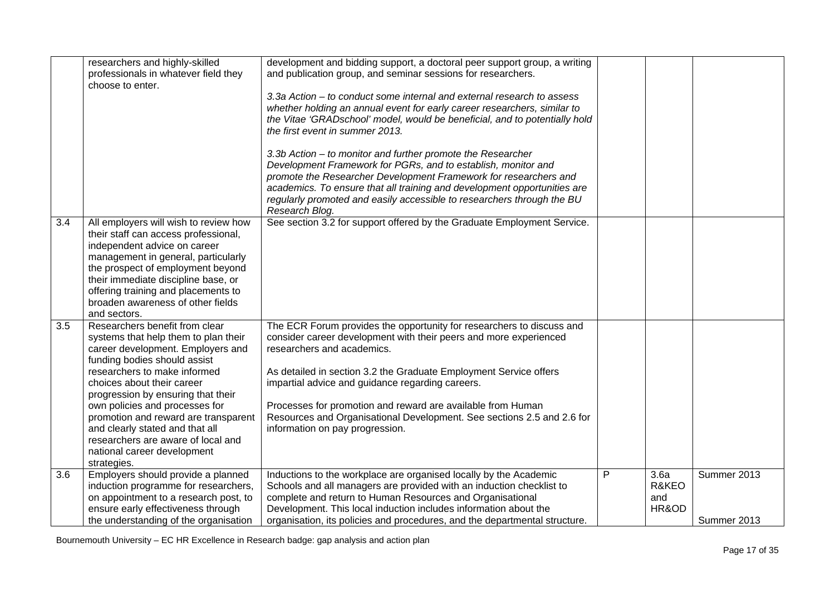|                  | researchers and highly-skilled<br>professionals in whatever field they<br>choose to enter.                                                                                                                                                                                                                                                                                                                                                       | development and bidding support, a doctoral peer support group, a writing<br>and publication group, and seminar sessions for researchers.<br>3.3a Action – to conduct some internal and external research to assess<br>whether holding an annual event for early career researchers, similar to<br>the Vitae 'GRADschool' model, would be beneficial, and to potentially hold<br>the first event in summer 2013.                                                              |   |                               |                            |
|------------------|--------------------------------------------------------------------------------------------------------------------------------------------------------------------------------------------------------------------------------------------------------------------------------------------------------------------------------------------------------------------------------------------------------------------------------------------------|-------------------------------------------------------------------------------------------------------------------------------------------------------------------------------------------------------------------------------------------------------------------------------------------------------------------------------------------------------------------------------------------------------------------------------------------------------------------------------|---|-------------------------------|----------------------------|
|                  |                                                                                                                                                                                                                                                                                                                                                                                                                                                  | 3.3b Action - to monitor and further promote the Researcher<br>Development Framework for PGRs, and to establish, monitor and<br>promote the Researcher Development Framework for researchers and<br>academics. To ensure that all training and development opportunities are<br>regularly promoted and easily accessible to researchers through the BU<br>Research Blog.                                                                                                      |   |                               |                            |
| $\overline{3.4}$ | All employers will wish to review how<br>their staff can access professional,<br>independent advice on career<br>management in general, particularly<br>the prospect of employment beyond<br>their immediate discipline base, or<br>offering training and placements to<br>broaden awareness of other fields<br>and sectors.                                                                                                                     | See section 3.2 for support offered by the Graduate Employment Service.                                                                                                                                                                                                                                                                                                                                                                                                       |   |                               |                            |
| 3.5              | Researchers benefit from clear<br>systems that help them to plan their<br>career development. Employers and<br>funding bodies should assist<br>researchers to make informed<br>choices about their career<br>progression by ensuring that their<br>own policies and processes for<br>promotion and reward are transparent<br>and clearly stated and that all<br>researchers are aware of local and<br>national career development<br>strategies. | The ECR Forum provides the opportunity for researchers to discuss and<br>consider career development with their peers and more experienced<br>researchers and academics.<br>As detailed in section 3.2 the Graduate Employment Service offers<br>impartial advice and guidance regarding careers.<br>Processes for promotion and reward are available from Human<br>Resources and Organisational Development. See sections 2.5 and 2.6 for<br>information on pay progression. |   |                               |                            |
| 3.6              | Employers should provide a planned<br>induction programme for researchers,<br>on appointment to a research post, to<br>ensure early effectiveness through<br>the understanding of the organisation                                                                                                                                                                                                                                               | Inductions to the workplace are organised locally by the Academic<br>Schools and all managers are provided with an induction checklist to<br>complete and return to Human Resources and Organisational<br>Development. This local induction includes information about the<br>organisation, its policies and procedures, and the departmental structure.                                                                                                                      | P | 3.6a<br>R&KEO<br>and<br>HR&OD | Summer 2013<br>Summer 2013 |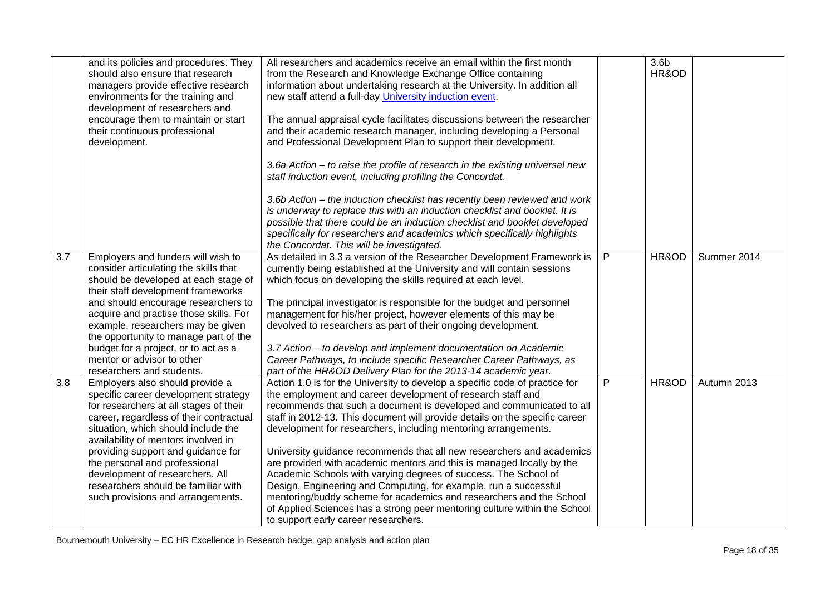|     | and its policies and procedures. They<br>should also ensure that research<br>managers provide effective research<br>environments for the training and<br>development of researchers and<br>encourage them to maintain or start<br>their continuous professional<br>development.                                                                                                                                                  | All researchers and academics receive an email within the first month<br>from the Research and Knowledge Exchange Office containing<br>information about undertaking research at the University. In addition all<br>new staff attend a full-day University induction event.<br>The annual appraisal cycle facilitates discussions between the researcher<br>and their academic research manager, including developing a Personal<br>and Professional Development Plan to support their development.<br>3.6a Action - to raise the profile of research in the existing universal new<br>staff induction event, including profiling the Concordat.<br>3.6b Action – the induction checklist has recently been reviewed and work                                                                                                                            |   | 3.6 <sub>b</sub><br>HR&OD |             |
|-----|----------------------------------------------------------------------------------------------------------------------------------------------------------------------------------------------------------------------------------------------------------------------------------------------------------------------------------------------------------------------------------------------------------------------------------|----------------------------------------------------------------------------------------------------------------------------------------------------------------------------------------------------------------------------------------------------------------------------------------------------------------------------------------------------------------------------------------------------------------------------------------------------------------------------------------------------------------------------------------------------------------------------------------------------------------------------------------------------------------------------------------------------------------------------------------------------------------------------------------------------------------------------------------------------------|---|---------------------------|-------------|
|     |                                                                                                                                                                                                                                                                                                                                                                                                                                  | is underway to replace this with an induction checklist and booklet. It is<br>possible that there could be an induction checklist and booklet developed<br>specifically for researchers and academics which specifically highlights<br>the Concordat. This will be investigated.                                                                                                                                                                                                                                                                                                                                                                                                                                                                                                                                                                         |   |                           |             |
| 3.7 | Employers and funders will wish to<br>consider articulating the skills that<br>should be developed at each stage of<br>their staff development frameworks<br>and should encourage researchers to<br>acquire and practise those skills. For<br>example, researchers may be given<br>the opportunity to manage part of the<br>budget for a project, or to act as a<br>mentor or advisor to other<br>researchers and students.      | As detailed in 3.3 a version of the Researcher Development Framework is<br>currently being established at the University and will contain sessions<br>which focus on developing the skills required at each level.<br>The principal investigator is responsible for the budget and personnel<br>management for his/her project, however elements of this may be<br>devolved to researchers as part of their ongoing development.<br>3.7 Action - to develop and implement documentation on Academic<br>Career Pathways, to include specific Researcher Career Pathways, as<br>part of the HR&OD Delivery Plan for the 2013-14 academic year.                                                                                                                                                                                                             | P | HR&OD                     | Summer 2014 |
| 3.8 | Employers also should provide a<br>specific career development strategy<br>for researchers at all stages of their<br>career, regardless of their contractual<br>situation, which should include the<br>availability of mentors involved in<br>providing support and guidance for<br>the personal and professional<br>development of researchers. All<br>researchers should be familiar with<br>such provisions and arrangements. | Action 1.0 is for the University to develop a specific code of practice for<br>the employment and career development of research staff and<br>recommends that such a document is developed and communicated to all<br>staff in 2012-13. This document will provide details on the specific career<br>development for researchers, including mentoring arrangements.<br>University guidance recommends that all new researchers and academics<br>are provided with academic mentors and this is managed locally by the<br>Academic Schools with varying degrees of success. The School of<br>Design, Engineering and Computing, for example, run a successful<br>mentoring/buddy scheme for academics and researchers and the School<br>of Applied Sciences has a strong peer mentoring culture within the School<br>to support early career researchers. | P | HR&OD                     | Autumn 2013 |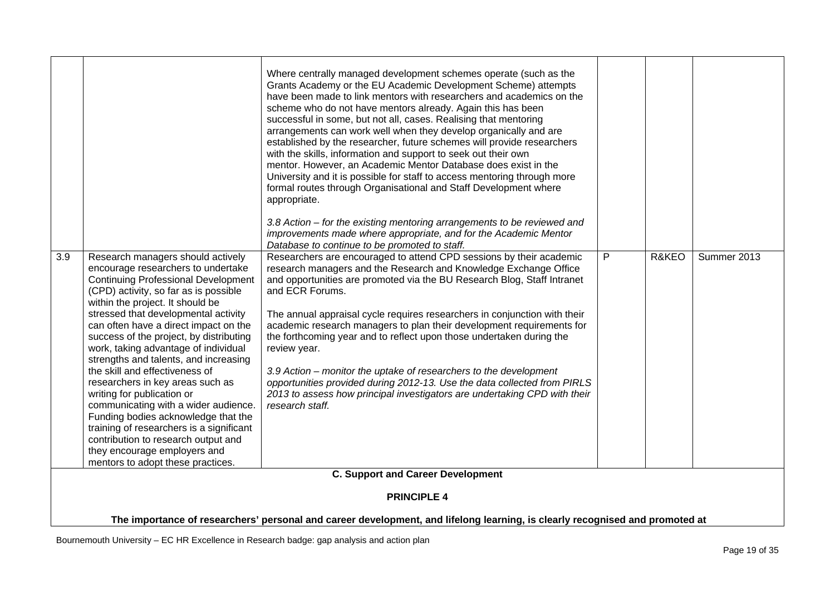|     |                                                                                                                                                                                                                                                                                                                                                                                                                                                                                                                                                                                                                                                                                                                                                            | Where centrally managed development schemes operate (such as the<br>Grants Academy or the EU Academic Development Scheme) attempts<br>have been made to link mentors with researchers and academics on the<br>scheme who do not have mentors already. Again this has been<br>successful in some, but not all, cases. Realising that mentoring<br>arrangements can work well when they develop organically and are<br>established by the researcher, future schemes will provide researchers<br>with the skills, information and support to seek out their own<br>mentor. However, an Academic Mentor Database does exist in the<br>University and it is possible for staff to access mentoring through more<br>formal routes through Organisational and Staff Development where<br>appropriate.<br>3.8 Action – for the existing mentoring arrangements to be reviewed and<br>improvements made where appropriate, and for the Academic Mentor<br>Database to continue to be promoted to staff. |   |       |             |  |  |  |
|-----|------------------------------------------------------------------------------------------------------------------------------------------------------------------------------------------------------------------------------------------------------------------------------------------------------------------------------------------------------------------------------------------------------------------------------------------------------------------------------------------------------------------------------------------------------------------------------------------------------------------------------------------------------------------------------------------------------------------------------------------------------------|-------------------------------------------------------------------------------------------------------------------------------------------------------------------------------------------------------------------------------------------------------------------------------------------------------------------------------------------------------------------------------------------------------------------------------------------------------------------------------------------------------------------------------------------------------------------------------------------------------------------------------------------------------------------------------------------------------------------------------------------------------------------------------------------------------------------------------------------------------------------------------------------------------------------------------------------------------------------------------------------------|---|-------|-------------|--|--|--|
| 3.9 | Research managers should actively<br>encourage researchers to undertake<br><b>Continuing Professional Development</b><br>(CPD) activity, so far as is possible<br>within the project. It should be<br>stressed that developmental activity<br>can often have a direct impact on the<br>success of the project, by distributing<br>work, taking advantage of individual<br>strengths and talents, and increasing<br>the skill and effectiveness of<br>researchers in key areas such as<br>writing for publication or<br>communicating with a wider audience.<br>Funding bodies acknowledge that the<br>training of researchers is a significant<br>contribution to research output and<br>they encourage employers and<br>mentors to adopt these practices. | Researchers are encouraged to attend CPD sessions by their academic<br>research managers and the Research and Knowledge Exchange Office<br>and opportunities are promoted via the BU Research Blog, Staff Intranet<br>and ECR Forums.<br>The annual appraisal cycle requires researchers in conjunction with their<br>academic research managers to plan their development requirements for<br>the forthcoming year and to reflect upon those undertaken during the<br>review year.<br>3.9 Action - monitor the uptake of researchers to the development<br>opportunities provided during 2012-13. Use the data collected from PIRLS<br>2013 to assess how principal investigators are undertaking CPD with their<br>research staff.                                                                                                                                                                                                                                                            | P | R&KEO | Summer 2013 |  |  |  |
|     |                                                                                                                                                                                                                                                                                                                                                                                                                                                                                                                                                                                                                                                                                                                                                            | <b>C. Support and Career Development</b>                                                                                                                                                                                                                                                                                                                                                                                                                                                                                                                                                                                                                                                                                                                                                                                                                                                                                                                                                        |   |       |             |  |  |  |
|     |                                                                                                                                                                                                                                                                                                                                                                                                                                                                                                                                                                                                                                                                                                                                                            | <b>PRINCIPLE 4</b>                                                                                                                                                                                                                                                                                                                                                                                                                                                                                                                                                                                                                                                                                                                                                                                                                                                                                                                                                                              |   |       |             |  |  |  |
|     |                                                                                                                                                                                                                                                                                                                                                                                                                                                                                                                                                                                                                                                                                                                                                            |                                                                                                                                                                                                                                                                                                                                                                                                                                                                                                                                                                                                                                                                                                                                                                                                                                                                                                                                                                                                 |   |       |             |  |  |  |
|     | The importance of researchers' personal and career development, and lifelong learning, is clearly recognised and promoted at                                                                                                                                                                                                                                                                                                                                                                                                                                                                                                                                                                                                                               |                                                                                                                                                                                                                                                                                                                                                                                                                                                                                                                                                                                                                                                                                                                                                                                                                                                                                                                                                                                                 |   |       |             |  |  |  |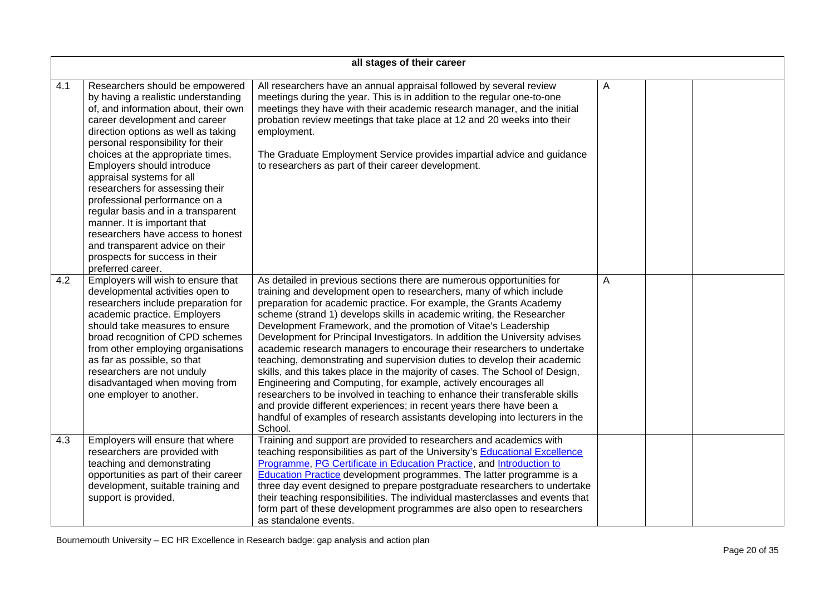|     | all stages of their career                                                                                                                                                                                                                                                                                                                                                                                                                                                                                                                                                                           |                                                                                                                                                                                                                                                                                                                                                                                                                                                                                                                                                                                                                                                                                                                                                                                                                                                                                                                                                                                                        |   |  |  |  |
|-----|------------------------------------------------------------------------------------------------------------------------------------------------------------------------------------------------------------------------------------------------------------------------------------------------------------------------------------------------------------------------------------------------------------------------------------------------------------------------------------------------------------------------------------------------------------------------------------------------------|--------------------------------------------------------------------------------------------------------------------------------------------------------------------------------------------------------------------------------------------------------------------------------------------------------------------------------------------------------------------------------------------------------------------------------------------------------------------------------------------------------------------------------------------------------------------------------------------------------------------------------------------------------------------------------------------------------------------------------------------------------------------------------------------------------------------------------------------------------------------------------------------------------------------------------------------------------------------------------------------------------|---|--|--|--|
| 4.1 | Researchers should be empowered<br>by having a realistic understanding<br>of, and information about, their own<br>career development and career<br>direction options as well as taking<br>personal responsibility for their<br>choices at the appropriate times.<br>Employers should introduce<br>appraisal systems for all<br>researchers for assessing their<br>professional performance on a<br>regular basis and in a transparent<br>manner. It is important that<br>researchers have access to honest<br>and transparent advice on their<br>prospects for success in their<br>preferred career. | All researchers have an annual appraisal followed by several review<br>meetings during the year. This is in addition to the regular one-to-one<br>meetings they have with their academic research manager, and the initial<br>probation review meetings that take place at 12 and 20 weeks into their<br>employment.<br>The Graduate Employment Service provides impartial advice and guidance<br>to researchers as part of their career development.                                                                                                                                                                                                                                                                                                                                                                                                                                                                                                                                                  | A |  |  |  |
| 4.2 | Employers will wish to ensure that<br>developmental activities open to<br>researchers include preparation for<br>academic practice. Employers<br>should take measures to ensure<br>broad recognition of CPD schemes<br>from other employing organisations<br>as far as possible, so that<br>researchers are not unduly<br>disadvantaged when moving from<br>one employer to another.                                                                                                                                                                                                                 | As detailed in previous sections there are numerous opportunities for<br>training and development open to researchers, many of which include<br>preparation for academic practice. For example, the Grants Academy<br>scheme (strand 1) develops skills in academic writing, the Researcher<br>Development Framework, and the promotion of Vitae's Leadership<br>Development for Principal Investigators. In addition the University advises<br>academic research managers to encourage their researchers to undertake<br>teaching, demonstrating and supervision duties to develop their academic<br>skills, and this takes place in the majority of cases. The School of Design,<br>Engineering and Computing, for example, actively encourages all<br>researchers to be involved in teaching to enhance their transferable skills<br>and provide different experiences; in recent years there have been a<br>handful of examples of research assistants developing into lecturers in the<br>School. | A |  |  |  |
| 4.3 | Employers will ensure that where<br>researchers are provided with<br>teaching and demonstrating<br>opportunities as part of their career<br>development, suitable training and<br>support is provided.                                                                                                                                                                                                                                                                                                                                                                                               | Training and support are provided to researchers and academics with<br>teaching responsibilities as part of the University's <b>Educational Excellence</b><br>Programme, PG Certificate in Education Practice, and Introduction to<br><b>Education Practice</b> development programmes. The latter programme is a<br>three day event designed to prepare postgraduate researchers to undertake<br>their teaching responsibilities. The individual masterclasses and events that<br>form part of these development programmes are also open to researchers<br>as standalone events.                                                                                                                                                                                                                                                                                                                                                                                                                     |   |  |  |  |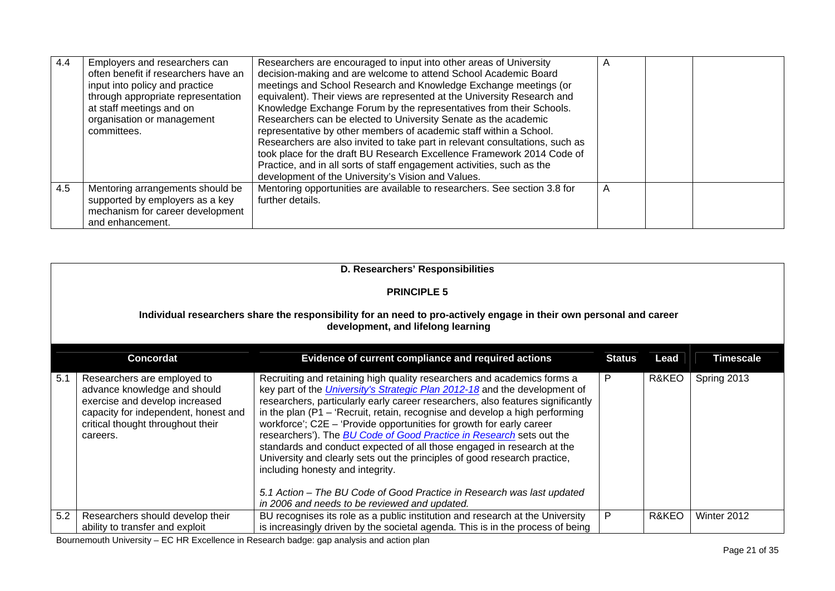| 4.4 | Employers and researchers can<br>often benefit if researchers have an<br>input into policy and practice<br>through appropriate representation<br>at staff meetings and on<br>organisation or management<br>committees. | Researchers are encouraged to input into other areas of University<br>decision-making and are welcome to attend School Academic Board<br>meetings and School Research and Knowledge Exchange meetings (or<br>equivalent). Their views are represented at the University Research and<br>Knowledge Exchange Forum by the representatives from their Schools.<br>Researchers can be elected to University Senate as the academic<br>representative by other members of academic staff within a School.<br>Researchers are also invited to take part in relevant consultations, such as<br>took place for the draft BU Research Excellence Framework 2014 Code of<br>Practice, and in all sorts of staff engagement activities, such as the<br>development of the University's Vision and Values. | $\overline{A}$ |  |
|-----|------------------------------------------------------------------------------------------------------------------------------------------------------------------------------------------------------------------------|------------------------------------------------------------------------------------------------------------------------------------------------------------------------------------------------------------------------------------------------------------------------------------------------------------------------------------------------------------------------------------------------------------------------------------------------------------------------------------------------------------------------------------------------------------------------------------------------------------------------------------------------------------------------------------------------------------------------------------------------------------------------------------------------|----------------|--|
| 4.5 | Mentoring arrangements should be<br>supported by employers as a key<br>mechanism for career development<br>and enhancement.                                                                                            | Mentoring opportunities are available to researchers. See section 3.8 for<br>further details.                                                                                                                                                                                                                                                                                                                                                                                                                                                                                                                                                                                                                                                                                                  | $\overline{A}$ |  |

|     | D. Researchers' Responsibilities                                                                                                                                                       |                                                                                                                                                                                                                                                                                                                                                                                                                                                                                                                                                                                                                                                                                                                                                                 |        |       |                  |  |  |
|-----|----------------------------------------------------------------------------------------------------------------------------------------------------------------------------------------|-----------------------------------------------------------------------------------------------------------------------------------------------------------------------------------------------------------------------------------------------------------------------------------------------------------------------------------------------------------------------------------------------------------------------------------------------------------------------------------------------------------------------------------------------------------------------------------------------------------------------------------------------------------------------------------------------------------------------------------------------------------------|--------|-------|------------------|--|--|
|     |                                                                                                                                                                                        | <b>PRINCIPLE 5</b>                                                                                                                                                                                                                                                                                                                                                                                                                                                                                                                                                                                                                                                                                                                                              |        |       |                  |  |  |
|     | Individual researchers share the responsibility for an need to pro-actively engage in their own personal and career<br>development, and lifelong learning                              |                                                                                                                                                                                                                                                                                                                                                                                                                                                                                                                                                                                                                                                                                                                                                                 |        |       |                  |  |  |
|     | <b>Concordat</b>                                                                                                                                                                       | Evidence of current compliance and required actions                                                                                                                                                                                                                                                                                                                                                                                                                                                                                                                                                                                                                                                                                                             | Status | Lead  | <b>Timescale</b> |  |  |
| 5.1 | Researchers are employed to<br>advance knowledge and should<br>exercise and develop increased<br>capacity for independent, honest and<br>critical thought throughout their<br>careers. | Recruiting and retaining high quality researchers and academics forms a<br>key part of the <i>University's Strategic Plan 2012-18</i> and the development of<br>researchers, particularly early career researchers, also features significantly<br>in the plan ( $P1$ – 'Recruit, retain, recognise and develop a high performing<br>workforce'; $C2E - 'Provide$ opportunities for growth for early career<br>researchers'). The <b>BU Code of Good Practice in Research</b> sets out the<br>standards and conduct expected of all those engaged in research at the<br>University and clearly sets out the principles of good research practice,<br>including honesty and integrity.<br>5.1 Action – The BU Code of Good Practice in Research was last updated | P      | R&KEO | Spring 2013      |  |  |
|     |                                                                                                                                                                                        | in 2006 and needs to be reviewed and updated.                                                                                                                                                                                                                                                                                                                                                                                                                                                                                                                                                                                                                                                                                                                   |        |       |                  |  |  |
| 5.2 | Researchers should develop their<br>ability to transfer and exploit                                                                                                                    | BU recognises its role as a public institution and research at the University<br>is increasingly driven by the societal agenda. This is in the process of being                                                                                                                                                                                                                                                                                                                                                                                                                                                                                                                                                                                                 | P      | R&KEO | Winter 2012      |  |  |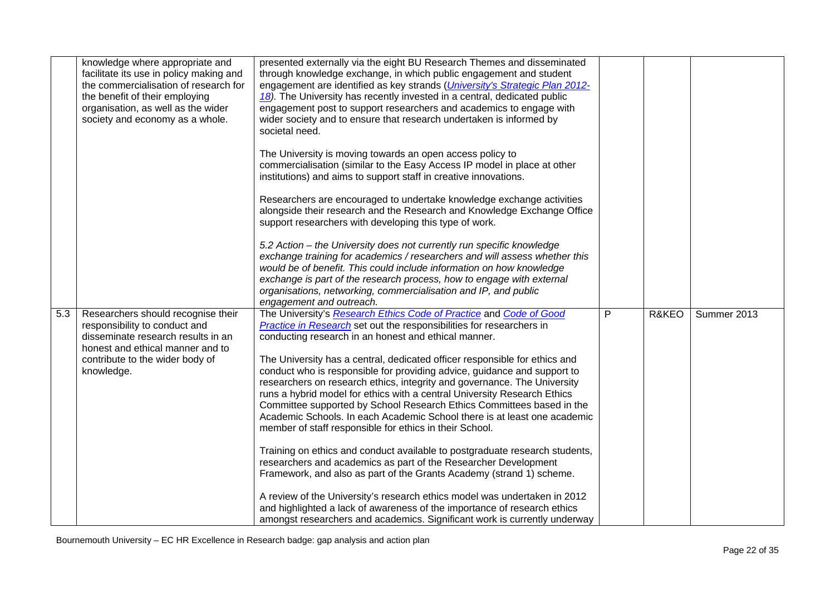|     | knowledge where appropriate and<br>facilitate its use in policy making and<br>the commercialisation of research for<br>the benefit of their employing<br>organisation, as well as the wider<br>society and economy as a whole. | presented externally via the eight BU Research Themes and disseminated<br>through knowledge exchange, in which public engagement and student<br>engagement are identified as key strands ( <i>University's Strategic Plan 2012-</i><br>18). The University has recently invested in a central, dedicated public<br>engagement post to support researchers and academics to engage with<br>wider society and to ensure that research undertaken is informed by<br>societal need. |   |       |             |
|-----|--------------------------------------------------------------------------------------------------------------------------------------------------------------------------------------------------------------------------------|---------------------------------------------------------------------------------------------------------------------------------------------------------------------------------------------------------------------------------------------------------------------------------------------------------------------------------------------------------------------------------------------------------------------------------------------------------------------------------|---|-------|-------------|
|     |                                                                                                                                                                                                                                | The University is moving towards an open access policy to<br>commercialisation (similar to the Easy Access IP model in place at other<br>institutions) and aims to support staff in creative innovations.                                                                                                                                                                                                                                                                       |   |       |             |
|     |                                                                                                                                                                                                                                | Researchers are encouraged to undertake knowledge exchange activities<br>alongside their research and the Research and Knowledge Exchange Office<br>support researchers with developing this type of work.                                                                                                                                                                                                                                                                      |   |       |             |
|     |                                                                                                                                                                                                                                | 5.2 Action – the University does not currently run specific knowledge<br>exchange training for academics / researchers and will assess whether this<br>would be of benefit. This could include information on how knowledge<br>exchange is part of the research process, how to engage with external<br>organisations, networking, commercialisation and IP, and public<br>engagement and outreach.                                                                             |   |       |             |
| 5.3 | Researchers should recognise their<br>responsibility to conduct and<br>disseminate research results in an<br>honest and ethical manner and to<br>contribute to the wider body of<br>knowledge.                                 | The University's Research Ethics Code of Practice and Code of Good<br><b>Practice in Research</b> set out the responsibilities for researchers in<br>conducting research in an honest and ethical manner.<br>The University has a central, dedicated officer responsible for ethics and<br>conduct who is responsible for providing advice, guidance and support to                                                                                                             | P | R&KEO | Summer 2013 |
|     |                                                                                                                                                                                                                                | researchers on research ethics, integrity and governance. The University<br>runs a hybrid model for ethics with a central University Research Ethics<br>Committee supported by School Research Ethics Committees based in the<br>Academic Schools. In each Academic School there is at least one academic<br>member of staff responsible for ethics in their School.                                                                                                            |   |       |             |
|     |                                                                                                                                                                                                                                | Training on ethics and conduct available to postgraduate research students,<br>researchers and academics as part of the Researcher Development<br>Framework, and also as part of the Grants Academy (strand 1) scheme.                                                                                                                                                                                                                                                          |   |       |             |
|     |                                                                                                                                                                                                                                | A review of the University's research ethics model was undertaken in 2012<br>and highlighted a lack of awareness of the importance of research ethics<br>amongst researchers and academics. Significant work is currently underway                                                                                                                                                                                                                                              |   |       |             |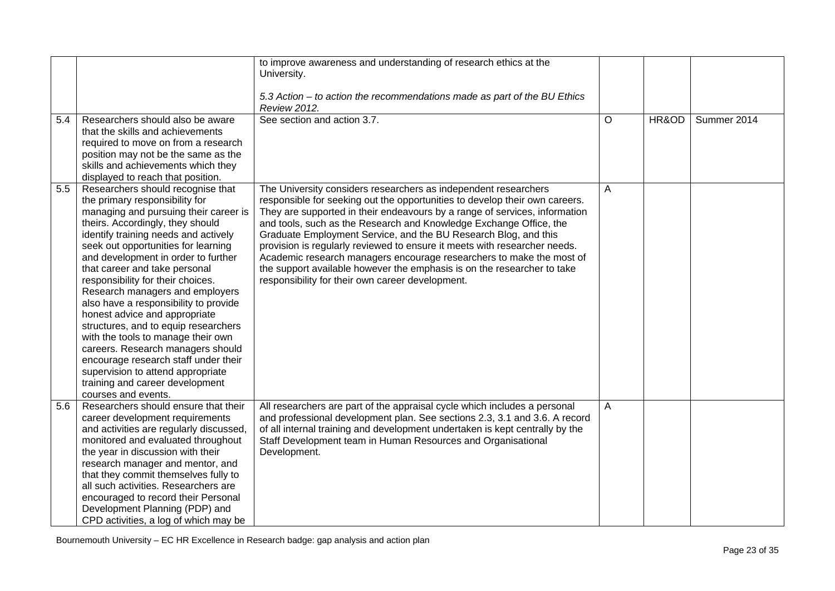|     |                                                                                                                                                                                                                                                                                                                                                                                                                                                                                                                                                                                                                                                                                                                     | to improve awareness and understanding of research ethics at the<br>University.                                                                                                                                                                                                                                                                                                                                                                                                                                                                                                                                                                           |   |       |             |
|-----|---------------------------------------------------------------------------------------------------------------------------------------------------------------------------------------------------------------------------------------------------------------------------------------------------------------------------------------------------------------------------------------------------------------------------------------------------------------------------------------------------------------------------------------------------------------------------------------------------------------------------------------------------------------------------------------------------------------------|-----------------------------------------------------------------------------------------------------------------------------------------------------------------------------------------------------------------------------------------------------------------------------------------------------------------------------------------------------------------------------------------------------------------------------------------------------------------------------------------------------------------------------------------------------------------------------------------------------------------------------------------------------------|---|-------|-------------|
|     |                                                                                                                                                                                                                                                                                                                                                                                                                                                                                                                                                                                                                                                                                                                     | 5.3 Action – to action the recommendations made as part of the BU Ethics<br><b>Review 2012.</b>                                                                                                                                                                                                                                                                                                                                                                                                                                                                                                                                                           |   |       |             |
| 5.4 | Researchers should also be aware<br>that the skills and achievements<br>required to move on from a research<br>position may not be the same as the<br>skills and achievements which they<br>displayed to reach that position.                                                                                                                                                                                                                                                                                                                                                                                                                                                                                       | See section and action 3.7.                                                                                                                                                                                                                                                                                                                                                                                                                                                                                                                                                                                                                               | O | HR&OD | Summer 2014 |
| 5.5 | Researchers should recognise that<br>the primary responsibility for<br>managing and pursuing their career is<br>theirs. Accordingly, they should<br>identify training needs and actively<br>seek out opportunities for learning<br>and development in order to further<br>that career and take personal<br>responsibility for their choices.<br>Research managers and employers<br>also have a responsibility to provide<br>honest advice and appropriate<br>structures, and to equip researchers<br>with the tools to manage their own<br>careers. Research managers should<br>encourage research staff under their<br>supervision to attend appropriate<br>training and career development<br>courses and events. | The University considers researchers as independent researchers<br>responsible for seeking out the opportunities to develop their own careers.<br>They are supported in their endeavours by a range of services, information<br>and tools, such as the Research and Knowledge Exchange Office, the<br>Graduate Employment Service, and the BU Research Blog, and this<br>provision is regularly reviewed to ensure it meets with researcher needs.<br>Academic research managers encourage researchers to make the most of<br>the support available however the emphasis is on the researcher to take<br>responsibility for their own career development. | A |       |             |
| 5.6 | Researchers should ensure that their<br>career development requirements<br>and activities are regularly discussed,<br>monitored and evaluated throughout<br>the year in discussion with their<br>research manager and mentor, and<br>that they commit themselves fully to<br>all such activities. Researchers are<br>encouraged to record their Personal<br>Development Planning (PDP) and<br>CPD activities, a log of which may be                                                                                                                                                                                                                                                                                 | All researchers are part of the appraisal cycle which includes a personal<br>and professional development plan. See sections 2.3, 3.1 and 3.6. A record<br>of all internal training and development undertaken is kept centrally by the<br>Staff Development team in Human Resources and Organisational<br>Development.                                                                                                                                                                                                                                                                                                                                   | A |       |             |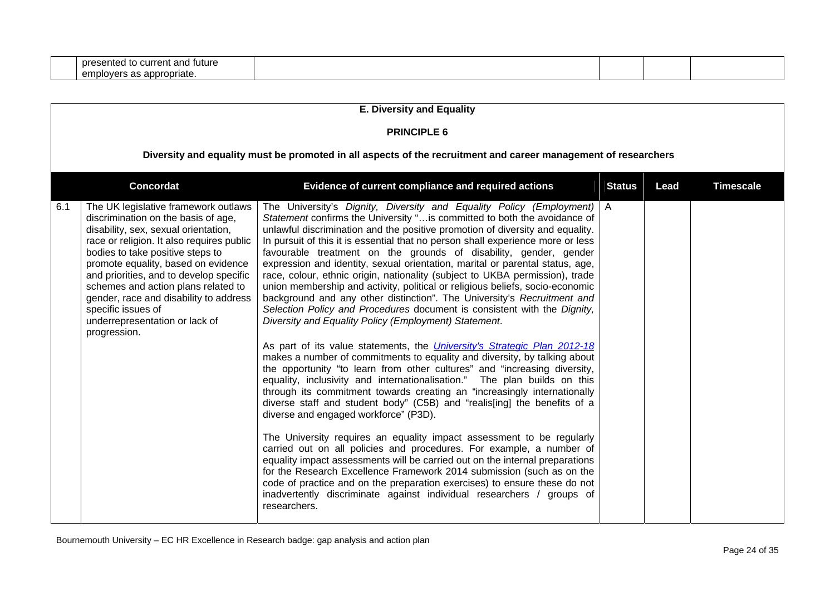| ' futur∈<br>$n \times n$<br>one<br>CUITE<br>ּ וחי<br>esentec<br>dΙ<br>.<br>. |  |  |
|------------------------------------------------------------------------------|--|--|
| nnn <i>r</i><br>ropriate.<br>co<br>employ                                    |  |  |

|     | <b>E. Diversity and Equality</b>                                                                                                                                                                                                                                                                                                                                                                                                                |                                                                                                                                                                                                                                                                                                                                                                                                                                                                                                                                                                                                                                                                                                                                                                                                                                                                                                                                                                                                                                                                                                                                                                                                                                                                                                                                                                                                                                                                                                                                                                                                                                                                                                                                                                                                                                                                            |               |      |                  |  |  |  |  |
|-----|-------------------------------------------------------------------------------------------------------------------------------------------------------------------------------------------------------------------------------------------------------------------------------------------------------------------------------------------------------------------------------------------------------------------------------------------------|----------------------------------------------------------------------------------------------------------------------------------------------------------------------------------------------------------------------------------------------------------------------------------------------------------------------------------------------------------------------------------------------------------------------------------------------------------------------------------------------------------------------------------------------------------------------------------------------------------------------------------------------------------------------------------------------------------------------------------------------------------------------------------------------------------------------------------------------------------------------------------------------------------------------------------------------------------------------------------------------------------------------------------------------------------------------------------------------------------------------------------------------------------------------------------------------------------------------------------------------------------------------------------------------------------------------------------------------------------------------------------------------------------------------------------------------------------------------------------------------------------------------------------------------------------------------------------------------------------------------------------------------------------------------------------------------------------------------------------------------------------------------------------------------------------------------------------------------------------------------------|---------------|------|------------------|--|--|--|--|
|     | <b>PRINCIPLE 6</b>                                                                                                                                                                                                                                                                                                                                                                                                                              |                                                                                                                                                                                                                                                                                                                                                                                                                                                                                                                                                                                                                                                                                                                                                                                                                                                                                                                                                                                                                                                                                                                                                                                                                                                                                                                                                                                                                                                                                                                                                                                                                                                                                                                                                                                                                                                                            |               |      |                  |  |  |  |  |
|     | Diversity and equality must be promoted in all aspects of the recruitment and career management of researchers                                                                                                                                                                                                                                                                                                                                  |                                                                                                                                                                                                                                                                                                                                                                                                                                                                                                                                                                                                                                                                                                                                                                                                                                                                                                                                                                                                                                                                                                                                                                                                                                                                                                                                                                                                                                                                                                                                                                                                                                                                                                                                                                                                                                                                            |               |      |                  |  |  |  |  |
|     | <b>Concordat</b>                                                                                                                                                                                                                                                                                                                                                                                                                                | Evidence of current compliance and required actions                                                                                                                                                                                                                                                                                                                                                                                                                                                                                                                                                                                                                                                                                                                                                                                                                                                                                                                                                                                                                                                                                                                                                                                                                                                                                                                                                                                                                                                                                                                                                                                                                                                                                                                                                                                                                        | <b>Status</b> | Lead | <b>Timescale</b> |  |  |  |  |
| 6.1 | The UK legislative framework outlaws<br>discrimination on the basis of age,<br>disability, sex, sexual orientation,<br>race or religion. It also requires public<br>bodies to take positive steps to<br>promote equality, based on evidence<br>and priorities, and to develop specific<br>schemes and action plans related to<br>gender, race and disability to address<br>specific issues of<br>underrepresentation or lack of<br>progression. | The University's Dignity, Diversity and Equality Policy (Employment)   A<br>Statement confirms the University " is committed to both the avoidance of<br>unlawful discrimination and the positive promotion of diversity and equality.<br>In pursuit of this it is essential that no person shall experience more or less<br>favourable treatment on the grounds of disability, gender, gender<br>expression and identity, sexual orientation, marital or parental status, age,<br>race, colour, ethnic origin, nationality (subject to UKBA permission), trade<br>union membership and activity, political or religious beliefs, socio-economic<br>background and any other distinction". The University's Recruitment and<br>Selection Policy and Procedures document is consistent with the Dignity,<br>Diversity and Equality Policy (Employment) Statement.<br>As part of its value statements, the <i>University's Strategic Plan 2012-18</i><br>makes a number of commitments to equality and diversity, by talking about<br>the opportunity "to learn from other cultures" and "increasing diversity,<br>equality, inclusivity and internationalisation." The plan builds on this<br>through its commitment towards creating an "increasingly internationally<br>diverse staff and student body" (C5B) and "realis[ing] the benefits of a<br>diverse and engaged workforce" (P3D).<br>The University requires an equality impact assessment to be regularly<br>carried out on all policies and procedures. For example, a number of<br>equality impact assessments will be carried out on the internal preparations<br>for the Research Excellence Framework 2014 submission (such as on the<br>code of practice and on the preparation exercises) to ensure these do not<br>inadvertently discriminate against individual researchers / groups of<br>researchers. |               |      |                  |  |  |  |  |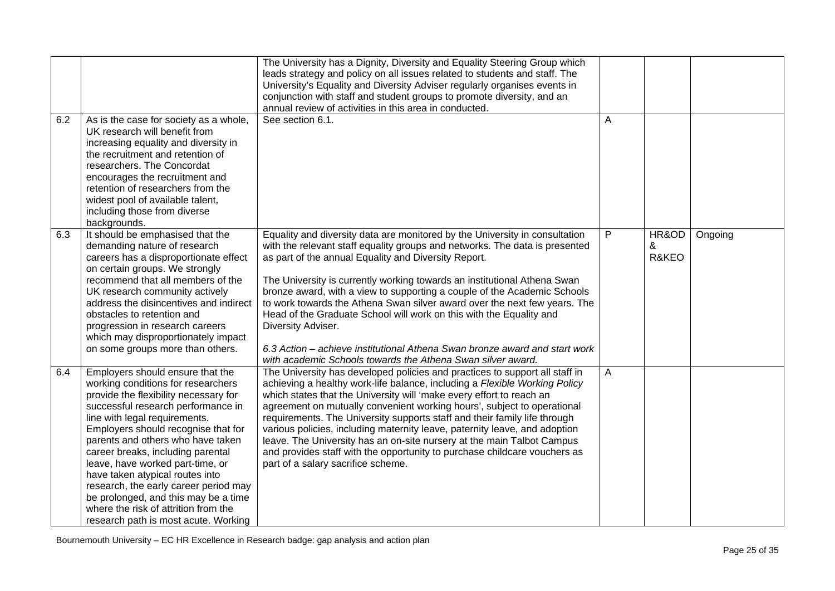| 6.2 | As is the case for society as a whole,                                                                                                                                                                                                                                                                                                                                                                                                                                                                                                          | The University has a Dignity, Diversity and Equality Steering Group which<br>leads strategy and policy on all issues related to students and staff. The<br>University's Equality and Diversity Adviser regularly organises events in<br>conjunction with staff and student groups to promote diversity, and an<br>annual review of activities in this area in conducted.<br>See section 6.1.                                                                                                                                                                                                                                                                                                      | Α              |                     |         |
|-----|-------------------------------------------------------------------------------------------------------------------------------------------------------------------------------------------------------------------------------------------------------------------------------------------------------------------------------------------------------------------------------------------------------------------------------------------------------------------------------------------------------------------------------------------------|---------------------------------------------------------------------------------------------------------------------------------------------------------------------------------------------------------------------------------------------------------------------------------------------------------------------------------------------------------------------------------------------------------------------------------------------------------------------------------------------------------------------------------------------------------------------------------------------------------------------------------------------------------------------------------------------------|----------------|---------------------|---------|
|     | UK research will benefit from<br>increasing equality and diversity in<br>the recruitment and retention of<br>researchers. The Concordat<br>encourages the recruitment and<br>retention of researchers from the<br>widest pool of available talent,<br>including those from diverse<br>backgrounds.                                                                                                                                                                                                                                              |                                                                                                                                                                                                                                                                                                                                                                                                                                                                                                                                                                                                                                                                                                   |                |                     |         |
| 6.3 | It should be emphasised that the<br>demanding nature of research<br>careers has a disproportionate effect<br>on certain groups. We strongly<br>recommend that all members of the<br>UK research community actively<br>address the disincentives and indirect<br>obstacles to retention and<br>progression in research careers<br>which may disproportionately impact<br>on some groups more than others.                                                                                                                                        | Equality and diversity data are monitored by the University in consultation<br>with the relevant staff equality groups and networks. The data is presented<br>as part of the annual Equality and Diversity Report.<br>The University is currently working towards an institutional Athena Swan<br>bronze award, with a view to supporting a couple of the Academic Schools<br>to work towards the Athena Swan silver award over the next few years. The<br>Head of the Graduate School will work on this with the Equality and<br>Diversity Adviser.<br>6.3 Action – achieve institutional Athena Swan bronze award and start work<br>with academic Schools towards the Athena Swan silver award. | P              | HR&OD<br>&<br>R&KEO | Ongoing |
| 6.4 | Employers should ensure that the<br>working conditions for researchers<br>provide the flexibility necessary for<br>successful research performance in<br>line with legal requirements.<br>Employers should recognise that for<br>parents and others who have taken<br>career breaks, including parental<br>leave, have worked part-time, or<br>have taken atypical routes into<br>research, the early career period may<br>be prolonged, and this may be a time<br>where the risk of attrition from the<br>research path is most acute. Working | The University has developed policies and practices to support all staff in<br>achieving a healthy work-life balance, including a Flexible Working Policy<br>which states that the University will 'make every effort to reach an<br>agreement on mutually convenient working hours', subject to operational<br>requirements. The University supports staff and their family life through<br>various policies, including maternity leave, paternity leave, and adoption<br>leave. The University has an on-site nursery at the main Talbot Campus<br>and provides staff with the opportunity to purchase childcare vouchers as<br>part of a salary sacrifice scheme.                              | $\overline{A}$ |                     |         |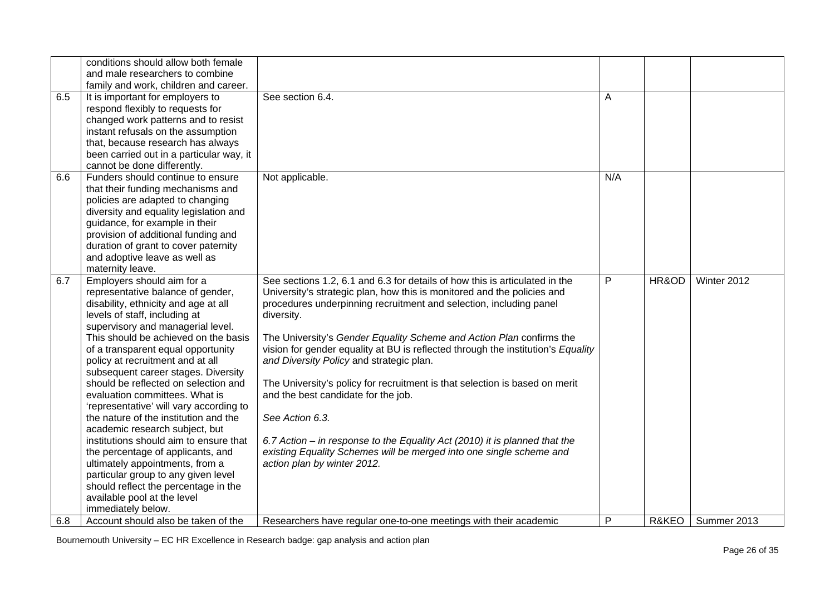|     | conditions should allow both female                                      |                                                                                  |              |       |             |
|-----|--------------------------------------------------------------------------|----------------------------------------------------------------------------------|--------------|-------|-------------|
|     | and male researchers to combine                                          |                                                                                  |              |       |             |
|     | family and work, children and career.                                    |                                                                                  |              |       |             |
| 6.5 | It is important for employers to                                         | See section 6.4.                                                                 | A            |       |             |
|     | respond flexibly to requests for                                         |                                                                                  |              |       |             |
|     | changed work patterns and to resist                                      |                                                                                  |              |       |             |
|     | instant refusals on the assumption                                       |                                                                                  |              |       |             |
|     | that, because research has always                                        |                                                                                  |              |       |             |
|     | been carried out in a particular way, it                                 |                                                                                  |              |       |             |
|     | cannot be done differently.                                              |                                                                                  |              |       |             |
| 6.6 | Funders should continue to ensure                                        | Not applicable.                                                                  | N/A          |       |             |
|     | that their funding mechanisms and                                        |                                                                                  |              |       |             |
|     |                                                                          |                                                                                  |              |       |             |
|     | policies are adapted to changing                                         |                                                                                  |              |       |             |
|     | diversity and equality legislation and<br>guidance, for example in their |                                                                                  |              |       |             |
|     |                                                                          |                                                                                  |              |       |             |
|     | provision of additional funding and                                      |                                                                                  |              |       |             |
|     | duration of grant to cover paternity                                     |                                                                                  |              |       |             |
|     | and adoptive leave as well as                                            |                                                                                  |              |       |             |
|     | maternity leave.                                                         |                                                                                  |              |       |             |
| 6.7 | Employers should aim for a                                               | See sections 1.2, 6.1 and 6.3 for details of how this is articulated in the      | P            | HR&OD | Winter 2012 |
|     | representative balance of gender,                                        | University's strategic plan, how this is monitored and the policies and          |              |       |             |
|     | disability, ethnicity and age at all                                     | procedures underpinning recruitment and selection, including panel               |              |       |             |
|     | levels of staff, including at                                            | diversity.                                                                       |              |       |             |
|     | supervisory and managerial level.                                        |                                                                                  |              |       |             |
|     | This should be achieved on the basis                                     | The University's Gender Equality Scheme and Action Plan confirms the             |              |       |             |
|     | of a transparent equal opportunity                                       | vision for gender equality at BU is reflected through the institution's Equality |              |       |             |
|     | policy at recruitment and at all                                         | and Diversity Policy and strategic plan.                                         |              |       |             |
|     | subsequent career stages. Diversity                                      |                                                                                  |              |       |             |
|     | should be reflected on selection and                                     | The University's policy for recruitment is that selection is based on merit      |              |       |             |
|     | evaluation committees. What is                                           | and the best candidate for the job.                                              |              |       |             |
|     | 'representative' will vary according to                                  |                                                                                  |              |       |             |
|     | the nature of the institution and the                                    | See Action 6.3.                                                                  |              |       |             |
|     | academic research subject, but                                           |                                                                                  |              |       |             |
|     | institutions should aim to ensure that                                   | 6.7 Action – in response to the Equality Act (2010) it is planned that the       |              |       |             |
|     | the percentage of applicants, and                                        | existing Equality Schemes will be merged into one single scheme and              |              |       |             |
|     | ultimately appointments, from a                                          | action plan by winter 2012.                                                      |              |       |             |
|     | particular group to any given level                                      |                                                                                  |              |       |             |
|     | should reflect the percentage in the                                     |                                                                                  |              |       |             |
|     | available pool at the level                                              |                                                                                  |              |       |             |
|     | immediately below.                                                       |                                                                                  |              |       |             |
| 6.8 | Account should also be taken of the                                      | Researchers have regular one-to-one meetings with their academic                 | $\mathsf{P}$ | R&KEO | Summer 2013 |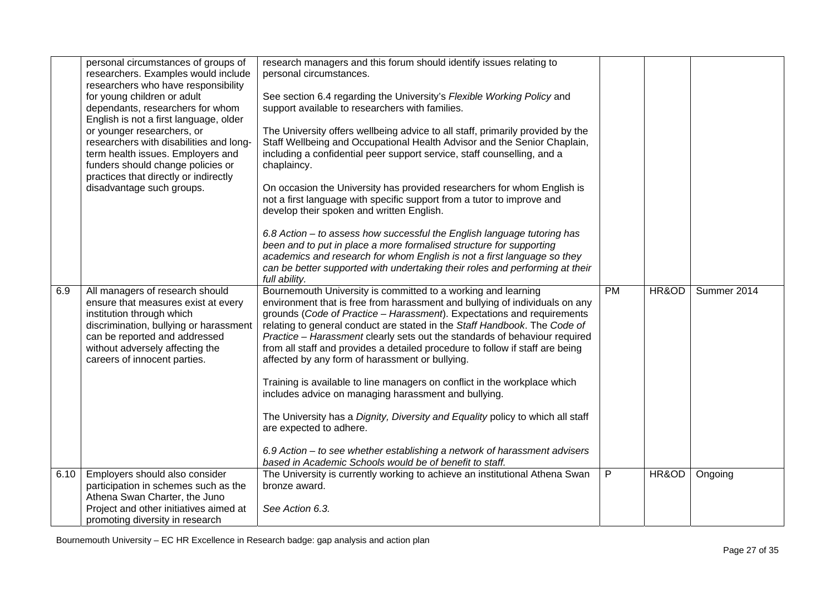|      | personal circumstances of groups of<br>researchers. Examples would include<br>researchers who have responsibility<br>for young children or adult<br>dependants, researchers for whom<br>English is not a first language, older<br>or younger researchers, or<br>researchers with disabilities and long-<br>term health issues. Employers and<br>funders should change policies or<br>practices that directly or indirectly<br>disadvantage such groups. | research managers and this forum should identify issues relating to<br>personal circumstances.<br>See section 6.4 regarding the University's Flexible Working Policy and<br>support available to researchers with families.<br>The University offers wellbeing advice to all staff, primarily provided by the<br>Staff Wellbeing and Occupational Health Advisor and the Senior Chaplain,<br>including a confidential peer support service, staff counselling, and a<br>chaplaincy.<br>On occasion the University has provided researchers for whom English is<br>not a first language with specific support from a tutor to improve and<br>develop their spoken and written English.<br>6.8 Action – to assess how successful the English language tutoring has<br>been and to put in place a more formalised structure for supporting<br>academics and research for whom English is not a first language so they<br>can be better supported with undertaking their roles and performing at their<br>full ability. |    |       |             |
|------|---------------------------------------------------------------------------------------------------------------------------------------------------------------------------------------------------------------------------------------------------------------------------------------------------------------------------------------------------------------------------------------------------------------------------------------------------------|---------------------------------------------------------------------------------------------------------------------------------------------------------------------------------------------------------------------------------------------------------------------------------------------------------------------------------------------------------------------------------------------------------------------------------------------------------------------------------------------------------------------------------------------------------------------------------------------------------------------------------------------------------------------------------------------------------------------------------------------------------------------------------------------------------------------------------------------------------------------------------------------------------------------------------------------------------------------------------------------------------------------|----|-------|-------------|
| 6.9  | All managers of research should<br>ensure that measures exist at every<br>institution through which<br>discrimination, bullying or harassment<br>can be reported and addressed<br>without adversely affecting the<br>careers of innocent parties.                                                                                                                                                                                                       | Bournemouth University is committed to a working and learning<br>environment that is free from harassment and bullying of individuals on any<br>grounds (Code of Practice - Harassment). Expectations and requirements<br>relating to general conduct are stated in the Staff Handbook. The Code of<br>Practice - Harassment clearly sets out the standards of behaviour required<br>from all staff and provides a detailed procedure to follow if staff are being<br>affected by any form of harassment or bullying.<br>Training is available to line managers on conflict in the workplace which<br>includes advice on managing harassment and bullying.<br>The University has a Dignity, Diversity and Equality policy to which all staff<br>are expected to adhere.<br>6.9 Action – to see whether establishing a network of harassment advisers<br>based in Academic Schools would be of benefit to staff.                                                                                                     | PM | HR&OD | Summer 2014 |
| 6.10 | Employers should also consider<br>participation in schemes such as the<br>Athena Swan Charter, the Juno<br>Project and other initiatives aimed at<br>promoting diversity in research                                                                                                                                                                                                                                                                    | The University is currently working to achieve an institutional Athena Swan<br>bronze award.<br>See Action 6.3.                                                                                                                                                                                                                                                                                                                                                                                                                                                                                                                                                                                                                                                                                                                                                                                                                                                                                                     | P. | HR&OD | Ongoing     |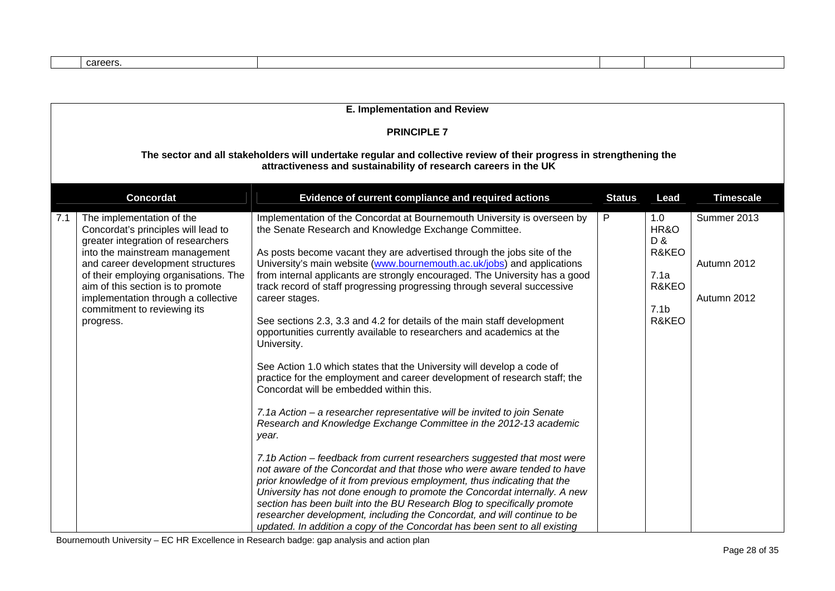| careers |  |
|---------|--|

| E. Implementation and Review                                                                                                                                                                                                                                                                                                                          |                                                                                                                                                                                                                                                                                                                                                                                                                                                                                                                                                                                                                                                                                                                                                                                                                                                                                                                                                                                                                                                                                                                                                                                                                                                                                                                                                                                                                                                                                                                                                           |   |                                                                           |                                           |  |  |  |
|-------------------------------------------------------------------------------------------------------------------------------------------------------------------------------------------------------------------------------------------------------------------------------------------------------------------------------------------------------|-----------------------------------------------------------------------------------------------------------------------------------------------------------------------------------------------------------------------------------------------------------------------------------------------------------------------------------------------------------------------------------------------------------------------------------------------------------------------------------------------------------------------------------------------------------------------------------------------------------------------------------------------------------------------------------------------------------------------------------------------------------------------------------------------------------------------------------------------------------------------------------------------------------------------------------------------------------------------------------------------------------------------------------------------------------------------------------------------------------------------------------------------------------------------------------------------------------------------------------------------------------------------------------------------------------------------------------------------------------------------------------------------------------------------------------------------------------------------------------------------------------------------------------------------------------|---|---------------------------------------------------------------------------|-------------------------------------------|--|--|--|
| <b>PRINCIPLE 7</b>                                                                                                                                                                                                                                                                                                                                    |                                                                                                                                                                                                                                                                                                                                                                                                                                                                                                                                                                                                                                                                                                                                                                                                                                                                                                                                                                                                                                                                                                                                                                                                                                                                                                                                                                                                                                                                                                                                                           |   |                                                                           |                                           |  |  |  |
| The sector and all stakeholders will undertake regular and collective review of their progress in strengthening the<br>attractiveness and sustainability of research careers in the UK                                                                                                                                                                |                                                                                                                                                                                                                                                                                                                                                                                                                                                                                                                                                                                                                                                                                                                                                                                                                                                                                                                                                                                                                                                                                                                                                                                                                                                                                                                                                                                                                                                                                                                                                           |   |                                                                           |                                           |  |  |  |
| <b>Concordat</b><br>Evidence of current compliance and required actions<br>Lead<br><b>Timescale</b><br><b>Status</b>                                                                                                                                                                                                                                  |                                                                                                                                                                                                                                                                                                                                                                                                                                                                                                                                                                                                                                                                                                                                                                                                                                                                                                                                                                                                                                                                                                                                                                                                                                                                                                                                                                                                                                                                                                                                                           |   |                                                                           |                                           |  |  |  |
| The implementation of the<br>7.1<br>Concordat's principles will lead to<br>greater integration of researchers<br>into the mainstream management<br>and career development structures<br>of their employing organisations. The<br>aim of this section is to promote<br>implementation through a collective<br>commitment to reviewing its<br>progress. | Implementation of the Concordat at Bournemouth University is overseen by<br>the Senate Research and Knowledge Exchange Committee.<br>As posts become vacant they are advertised through the jobs site of the<br>University's main website (www.bournemouth.ac.uk/jobs) and applications<br>from internal applicants are strongly encouraged. The University has a good<br>track record of staff progressing progressing through several successive<br>career stages.<br>See sections 2.3, 3.3 and 4.2 for details of the main staff development<br>opportunities currently available to researchers and academics at the<br>University.<br>See Action 1.0 which states that the University will develop a code of<br>practice for the employment and career development of research staff; the<br>Concordat will be embedded within this.<br>7.1a Action – a researcher representative will be invited to join Senate<br>Research and Knowledge Exchange Committee in the 2012-13 academic<br>year.<br>7.1b Action – feedback from current researchers suggested that most were<br>not aware of the Concordat and that those who were aware tended to have<br>prior knowledge of it from previous employment, thus indicating that the<br>University has not done enough to promote the Concordat internally. A new<br>section has been built into the BU Research Blog to specifically promote<br>researcher development, including the Concordat, and will continue to be<br>updated. In addition a copy of the Concordat has been sent to all existing | P | 1.0<br>HR&O<br>D &<br>R&KEO<br>7.1a<br>R&KEO<br>7.1 <sub>b</sub><br>R&KEO | Summer 2013<br>Autumn 2012<br>Autumn 2012 |  |  |  |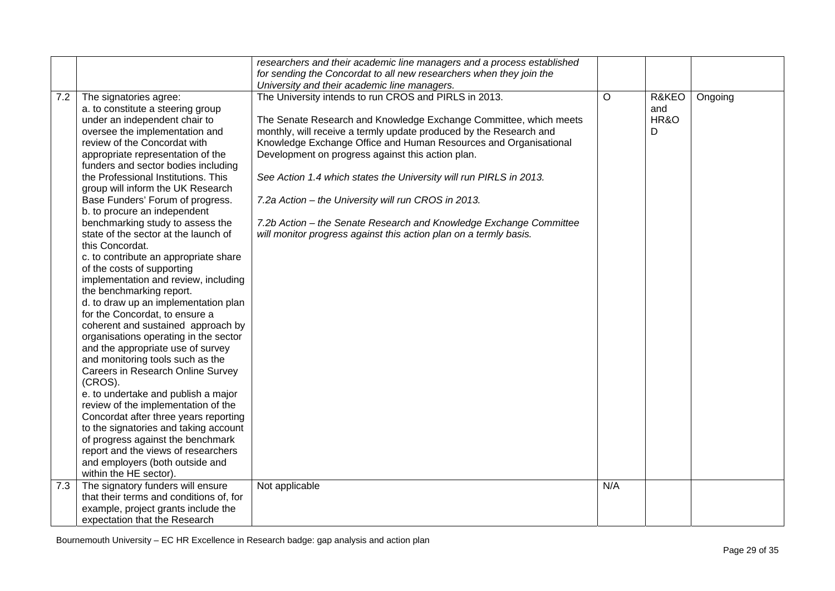|     |                                                                                                                                                                                                                                                                                                                                                                                                                                                                                                                                                                                                                                                                                                                                                                                                                                                                                                                                                                                                                                                                                                                                                                                                       | researchers and their academic line managers and a process established                                                                                                                                                                                                                                                                                                                                                                                                                                                                                                                                                                            |     |                           |         |
|-----|-------------------------------------------------------------------------------------------------------------------------------------------------------------------------------------------------------------------------------------------------------------------------------------------------------------------------------------------------------------------------------------------------------------------------------------------------------------------------------------------------------------------------------------------------------------------------------------------------------------------------------------------------------------------------------------------------------------------------------------------------------------------------------------------------------------------------------------------------------------------------------------------------------------------------------------------------------------------------------------------------------------------------------------------------------------------------------------------------------------------------------------------------------------------------------------------------------|---------------------------------------------------------------------------------------------------------------------------------------------------------------------------------------------------------------------------------------------------------------------------------------------------------------------------------------------------------------------------------------------------------------------------------------------------------------------------------------------------------------------------------------------------------------------------------------------------------------------------------------------------|-----|---------------------------|---------|
|     |                                                                                                                                                                                                                                                                                                                                                                                                                                                                                                                                                                                                                                                                                                                                                                                                                                                                                                                                                                                                                                                                                                                                                                                                       | for sending the Concordat to all new researchers when they join the                                                                                                                                                                                                                                                                                                                                                                                                                                                                                                                                                                               |     |                           |         |
|     |                                                                                                                                                                                                                                                                                                                                                                                                                                                                                                                                                                                                                                                                                                                                                                                                                                                                                                                                                                                                                                                                                                                                                                                                       |                                                                                                                                                                                                                                                                                                                                                                                                                                                                                                                                                                                                                                                   |     |                           |         |
| 7.2 | The signatories agree:<br>a. to constitute a steering group<br>under an independent chair to<br>oversee the implementation and<br>review of the Concordat with<br>appropriate representation of the<br>funders and sector bodies including<br>the Professional Institutions. This<br>group will inform the UK Research<br>Base Funders' Forum of progress.<br>b. to procure an independent<br>benchmarking study to assess the<br>state of the sector at the launch of<br>this Concordat.<br>c. to contribute an appropriate share<br>of the costs of supporting<br>implementation and review, including<br>the benchmarking report.<br>d. to draw up an implementation plan<br>for the Concordat, to ensure a<br>coherent and sustained approach by<br>organisations operating in the sector<br>and the appropriate use of survey<br>and monitoring tools such as the<br>Careers in Research Online Survey<br>(CROS).<br>e. to undertake and publish a major<br>review of the implementation of the<br>Concordat after three years reporting<br>to the signatories and taking account<br>of progress against the benchmark<br>report and the views of researchers<br>and employers (both outside and | University and their academic line managers.<br>The University intends to run CROS and PIRLS in 2013.<br>The Senate Research and Knowledge Exchange Committee, which meets<br>monthly, will receive a termly update produced by the Research and<br>Knowledge Exchange Office and Human Resources and Organisational<br>Development on progress against this action plan.<br>See Action 1.4 which states the University will run PIRLS in 2013.<br>7.2a Action - the University will run CROS in 2013.<br>7.2b Action - the Senate Research and Knowledge Exchange Committee<br>will monitor progress against this action plan on a termly basis. | O   | R&KEO<br>and<br>HR&O<br>D | Ongoing |
|     | within the HE sector).                                                                                                                                                                                                                                                                                                                                                                                                                                                                                                                                                                                                                                                                                                                                                                                                                                                                                                                                                                                                                                                                                                                                                                                |                                                                                                                                                                                                                                                                                                                                                                                                                                                                                                                                                                                                                                                   |     |                           |         |
| 7.3 | The signatory funders will ensure                                                                                                                                                                                                                                                                                                                                                                                                                                                                                                                                                                                                                                                                                                                                                                                                                                                                                                                                                                                                                                                                                                                                                                     | Not applicable                                                                                                                                                                                                                                                                                                                                                                                                                                                                                                                                                                                                                                    | N/A |                           |         |
|     | that their terms and conditions of, for                                                                                                                                                                                                                                                                                                                                                                                                                                                                                                                                                                                                                                                                                                                                                                                                                                                                                                                                                                                                                                                                                                                                                               |                                                                                                                                                                                                                                                                                                                                                                                                                                                                                                                                                                                                                                                   |     |                           |         |
|     | example, project grants include the                                                                                                                                                                                                                                                                                                                                                                                                                                                                                                                                                                                                                                                                                                                                                                                                                                                                                                                                                                                                                                                                                                                                                                   |                                                                                                                                                                                                                                                                                                                                                                                                                                                                                                                                                                                                                                                   |     |                           |         |
|     | expectation that the Research                                                                                                                                                                                                                                                                                                                                                                                                                                                                                                                                                                                                                                                                                                                                                                                                                                                                                                                                                                                                                                                                                                                                                                         |                                                                                                                                                                                                                                                                                                                                                                                                                                                                                                                                                                                                                                                   |     |                           |         |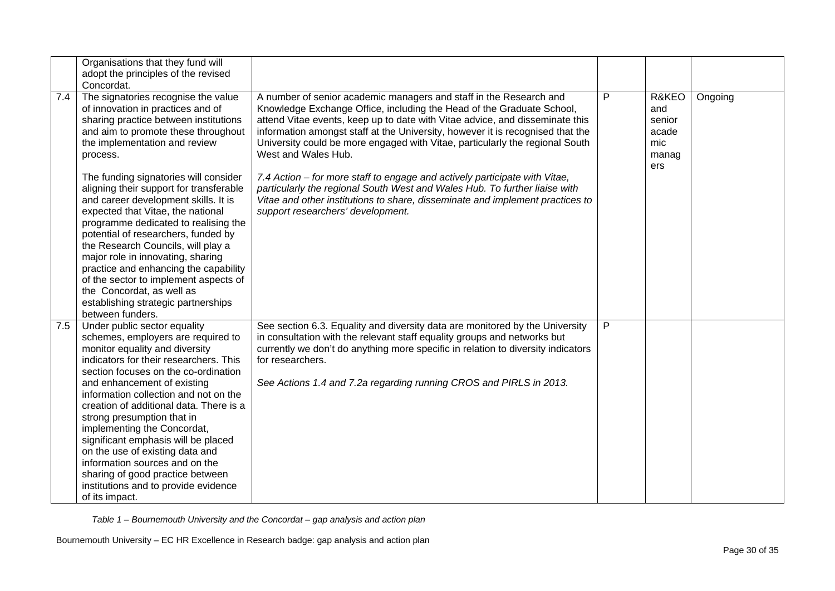|     | Organisations that they fund will<br>adopt the principles of the revised<br>Concordat.                                                                                                                                                                                                                                                                                                                                                                                                                                                                                                                                                                                                                     |                                                                                                                                                                                                                                                                                                                                                                                                                                                                                                                                                                                                                                                                                                        |   |                                                        |         |
|-----|------------------------------------------------------------------------------------------------------------------------------------------------------------------------------------------------------------------------------------------------------------------------------------------------------------------------------------------------------------------------------------------------------------------------------------------------------------------------------------------------------------------------------------------------------------------------------------------------------------------------------------------------------------------------------------------------------------|--------------------------------------------------------------------------------------------------------------------------------------------------------------------------------------------------------------------------------------------------------------------------------------------------------------------------------------------------------------------------------------------------------------------------------------------------------------------------------------------------------------------------------------------------------------------------------------------------------------------------------------------------------------------------------------------------------|---|--------------------------------------------------------|---------|
| 7.4 | The signatories recognise the value<br>of innovation in practices and of<br>sharing practice between institutions<br>and aim to promote these throughout<br>the implementation and review<br>process.<br>The funding signatories will consider<br>aligning their support for transferable<br>and career development skills. It is<br>expected that Vitae, the national<br>programme dedicated to realising the<br>potential of researchers, funded by<br>the Research Councils, will play a<br>major role in innovating, sharing<br>practice and enhancing the capability<br>of the sector to implement aspects of<br>the Concordat, as well as<br>establishing strategic partnerships<br>between funders. | A number of senior academic managers and staff in the Research and<br>Knowledge Exchange Office, including the Head of the Graduate School,<br>attend Vitae events, keep up to date with Vitae advice, and disseminate this<br>information amongst staff at the University, however it is recognised that the<br>University could be more engaged with Vitae, particularly the regional South<br>West and Wales Hub.<br>7.4 Action – for more staff to engage and actively participate with Vitae,<br>particularly the regional South West and Wales Hub. To further liaise with<br>Vitae and other institutions to share, disseminate and implement practices to<br>support researchers' development. | P | R&KEO<br>and<br>senior<br>acade<br>mic<br>manag<br>ers | Ongoing |
| 7.5 | Under public sector equality<br>schemes, employers are required to<br>monitor equality and diversity<br>indicators for their researchers. This<br>section focuses on the co-ordination<br>and enhancement of existing<br>information collection and not on the<br>creation of additional data. There is a<br>strong presumption that in<br>implementing the Concordat,<br>significant emphasis will be placed<br>on the use of existing data and<br>information sources and on the<br>sharing of good practice between<br>institutions and to provide evidence<br>of its impact.                                                                                                                           | See section 6.3. Equality and diversity data are monitored by the University<br>in consultation with the relevant staff equality groups and networks but<br>currently we don't do anything more specific in relation to diversity indicators<br>for researchers.<br>See Actions 1.4 and 7.2a regarding running CROS and PIRLS in 2013.                                                                                                                                                                                                                                                                                                                                                                 | P |                                                        |         |

*Table 1 – Bournemouth University and the Concordat – gap analysis and action plan*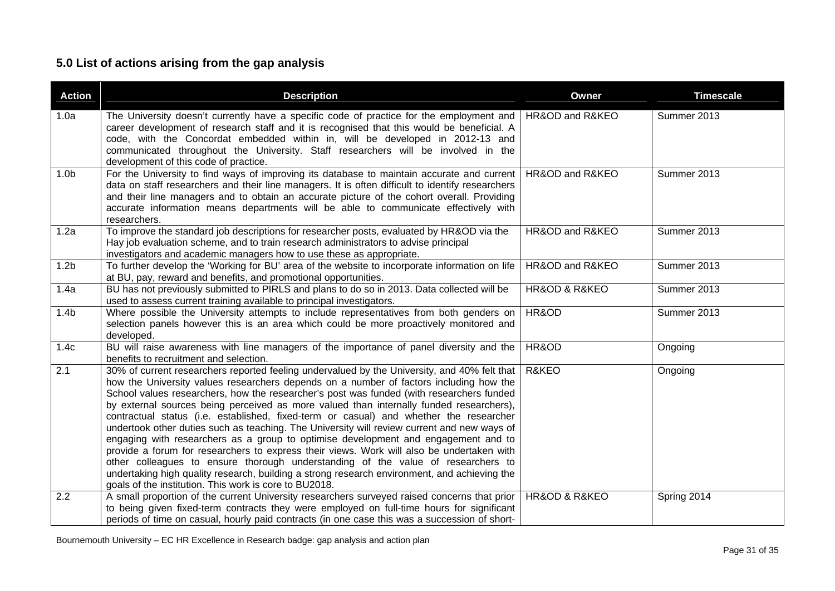# **5.0 List of actions arising from the gap analysis**

<span id="page-30-0"></span>

| <b>Action</b>    | <b>Description</b>                                                                                                                                                                                                                                                                                                                                                                                                                                                                                                                                                                                                                                                                                                                                                                                                                                                                                                                                                                                      | Owner           | <b>Timescale</b> |
|------------------|---------------------------------------------------------------------------------------------------------------------------------------------------------------------------------------------------------------------------------------------------------------------------------------------------------------------------------------------------------------------------------------------------------------------------------------------------------------------------------------------------------------------------------------------------------------------------------------------------------------------------------------------------------------------------------------------------------------------------------------------------------------------------------------------------------------------------------------------------------------------------------------------------------------------------------------------------------------------------------------------------------|-----------------|------------------|
| 1.0a             | The University doesn't currently have a specific code of practice for the employment and<br>career development of research staff and it is recognised that this would be beneficial. A<br>code, with the Concordat embedded within in, will be developed in 2012-13 and<br>communicated throughout the University. Staff researchers will be involved in the<br>development of this code of practice.                                                                                                                                                                                                                                                                                                                                                                                                                                                                                                                                                                                                   | HR&OD and R&KEO | Summer 2013      |
| 1.0 <sub>b</sub> | For the University to find ways of improving its database to maintain accurate and current<br>data on staff researchers and their line managers. It is often difficult to identify researchers<br>and their line managers and to obtain an accurate picture of the cohort overall. Providing<br>accurate information means departments will be able to communicate effectively with<br>researchers.                                                                                                                                                                                                                                                                                                                                                                                                                                                                                                                                                                                                     | HR&OD and R&KEO | Summer 2013      |
| 1.2a             | To improve the standard job descriptions for researcher posts, evaluated by HR&OD via the<br>Hay job evaluation scheme, and to train research administrators to advise principal<br>investigators and academic managers how to use these as appropriate.                                                                                                                                                                                                                                                                                                                                                                                                                                                                                                                                                                                                                                                                                                                                                | HR&OD and R&KEO | Summer 2013      |
| 1.2 <sub>b</sub> | To further develop the 'Working for BU' area of the website to incorporate information on life<br>at BU, pay, reward and benefits, and promotional opportunities.                                                                                                                                                                                                                                                                                                                                                                                                                                                                                                                                                                                                                                                                                                                                                                                                                                       | HR&OD and R&KEO | Summer 2013      |
| 1.4a             | BU has not previously submitted to PIRLS and plans to do so in 2013. Data collected will be<br>used to assess current training available to principal investigators.                                                                                                                                                                                                                                                                                                                                                                                                                                                                                                                                                                                                                                                                                                                                                                                                                                    | HR&OD & R&KEO   | Summer 2013      |
| 1.4 <sub>b</sub> | Where possible the University attempts to include representatives from both genders on<br>selection panels however this is an area which could be more proactively monitored and<br>developed.                                                                                                                                                                                                                                                                                                                                                                                                                                                                                                                                                                                                                                                                                                                                                                                                          | HR&OD           | Summer 2013      |
| 1.4c             | BU will raise awareness with line managers of the importance of panel diversity and the<br>benefits to recruitment and selection.                                                                                                                                                                                                                                                                                                                                                                                                                                                                                                                                                                                                                                                                                                                                                                                                                                                                       | HR&OD           | Ongoing          |
| 2.1              | 30% of current researchers reported feeling undervalued by the University, and 40% felt that<br>how the University values researchers depends on a number of factors including how the<br>School values researchers, how the researcher's post was funded (with researchers funded<br>by external sources being perceived as more valued than internally funded researchers),<br>contractual status (i.e. established, fixed-term or casual) and whether the researcher<br>undertook other duties such as teaching. The University will review current and new ways of<br>engaging with researchers as a group to optimise development and engagement and to<br>provide a forum for researchers to express their views. Work will also be undertaken with<br>other colleagues to ensure thorough understanding of the value of researchers to<br>undertaking high quality research, building a strong research environment, and achieving the<br>goals of the institution. This work is core to BU2018. | R&KEO           | Ongoing          |
| 2.2              | A small proportion of the current University researchers surveyed raised concerns that prior<br>to being given fixed-term contracts they were employed on full-time hours for significant<br>periods of time on casual, hourly paid contracts (in one case this was a succession of short-                                                                                                                                                                                                                                                                                                                                                                                                                                                                                                                                                                                                                                                                                                              | HR&OD & R&KEO   | Spring 2014      |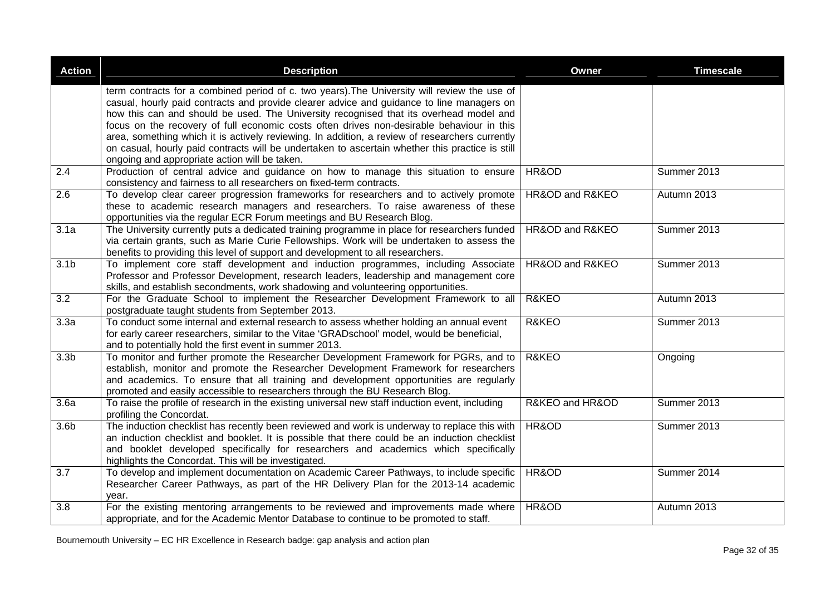| <b>Action</b>     | <b>Description</b>                                                                                                                                                                                                                                                                                                                                                                                                                                                                                                                                                                    | Owner           | <b>Timescale</b> |
|-------------------|---------------------------------------------------------------------------------------------------------------------------------------------------------------------------------------------------------------------------------------------------------------------------------------------------------------------------------------------------------------------------------------------------------------------------------------------------------------------------------------------------------------------------------------------------------------------------------------|-----------------|------------------|
|                   | term contracts for a combined period of c. two years). The University will review the use of<br>casual, hourly paid contracts and provide clearer advice and guidance to line managers on<br>how this can and should be used. The University recognised that its overhead model and<br>focus on the recovery of full economic costs often drives non-desirable behaviour in this<br>area, something which it is actively reviewing. In addition, a review of researchers currently<br>on casual, hourly paid contracts will be undertaken to ascertain whether this practice is still |                 |                  |
| 2.4               | ongoing and appropriate action will be taken.<br>Production of central advice and guidance on how to manage this situation to ensure<br>consistency and fairness to all researchers on fixed-term contracts.                                                                                                                                                                                                                                                                                                                                                                          | HR&OD           | Summer 2013      |
| $\overline{2.6}$  | To develop clear career progression frameworks for researchers and to actively promote<br>these to academic research managers and researchers. To raise awareness of these<br>opportunities via the regular ECR Forum meetings and BU Research Blog.                                                                                                                                                                                                                                                                                                                                  | HR&OD and R&KEO | Autumn 2013      |
| 3.1a              | The University currently puts a dedicated training programme in place for researchers funded<br>via certain grants, such as Marie Curie Fellowships. Work will be undertaken to assess the<br>benefits to providing this level of support and development to all researchers.                                                                                                                                                                                                                                                                                                         | HR&OD and R&KEO | Summer 2013      |
| $\overline{3.1}$  | To implement core staff development and induction programmes, including Associate<br>Professor and Professor Development, research leaders, leadership and management core<br>skills, and establish secondments, work shadowing and volunteering opportunities.                                                                                                                                                                                                                                                                                                                       | HR&OD and R&KEO | Summer 2013      |
| $\overline{3.2}$  | For the Graduate School to implement the Researcher Development Framework to all<br>postgraduate taught students from September 2013.                                                                                                                                                                                                                                                                                                                                                                                                                                                 | R&KEO           | Autumn 2013      |
| 3.3a              | To conduct some internal and external research to assess whether holding an annual event<br>for early career researchers, similar to the Vitae 'GRADschool' model, would be beneficial,<br>and to potentially hold the first event in summer 2013.                                                                                                                                                                                                                                                                                                                                    | R&KEO           | Summer 2013      |
| 3.3 <sub>b</sub>  | To monitor and further promote the Researcher Development Framework for PGRs, and to<br>establish, monitor and promote the Researcher Development Framework for researchers<br>and academics. To ensure that all training and development opportunities are regularly<br>promoted and easily accessible to researchers through the BU Research Blog.                                                                                                                                                                                                                                  | R&KEO           | Ongoing          |
| $\overline{3.6a}$ | To raise the profile of research in the existing universal new staff induction event, including<br>profiling the Concordat.                                                                                                                                                                                                                                                                                                                                                                                                                                                           | R&KEO and HR&OD | Summer 2013      |
| 3.6 <sub>b</sub>  | The induction checklist has recently been reviewed and work is underway to replace this with<br>an induction checklist and booklet. It is possible that there could be an induction checklist<br>and booklet developed specifically for researchers and academics which specifically<br>highlights the Concordat. This will be investigated.                                                                                                                                                                                                                                          | HR&OD           | Summer 2013      |
| 3.7               | To develop and implement documentation on Academic Career Pathways, to include specific<br>Researcher Career Pathways, as part of the HR Delivery Plan for the 2013-14 academic<br>year.                                                                                                                                                                                                                                                                                                                                                                                              | HR&OD           | Summer 2014      |
| $\overline{3.8}$  | For the existing mentoring arrangements to be reviewed and improvements made where<br>appropriate, and for the Academic Mentor Database to continue to be promoted to staff.                                                                                                                                                                                                                                                                                                                                                                                                          | HR&OD           | Autumn 2013      |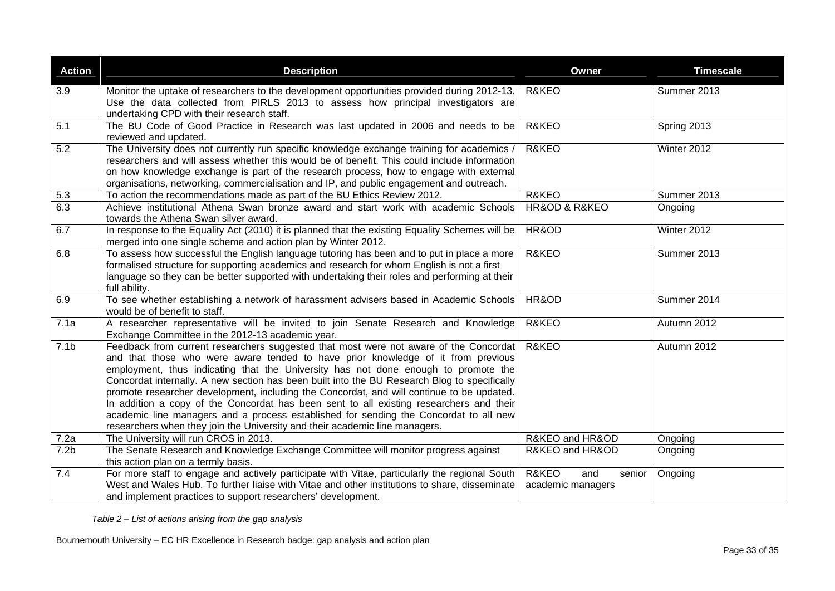| <b>Action</b>    | <b>Description</b>                                                                                                                                                                                                                                                                                                                                                                                                                                                                                                                                                                                                                                                                                                              | <b>Owner</b>                                | <b>Timescale</b> |
|------------------|---------------------------------------------------------------------------------------------------------------------------------------------------------------------------------------------------------------------------------------------------------------------------------------------------------------------------------------------------------------------------------------------------------------------------------------------------------------------------------------------------------------------------------------------------------------------------------------------------------------------------------------------------------------------------------------------------------------------------------|---------------------------------------------|------------------|
| 3.9              | Monitor the uptake of researchers to the development opportunities provided during 2012-13.<br>Use the data collected from PIRLS 2013 to assess how principal investigators are<br>undertaking CPD with their research staff.                                                                                                                                                                                                                                                                                                                                                                                                                                                                                                   | R&KEO                                       | Summer 2013      |
| 5.1              | The BU Code of Good Practice in Research was last updated in 2006 and needs to be<br>reviewed and updated.                                                                                                                                                                                                                                                                                                                                                                                                                                                                                                                                                                                                                      | R&KEO                                       | Spring 2013      |
| $\overline{5.2}$ | The University does not currently run specific knowledge exchange training for academics /<br>researchers and will assess whether this would be of benefit. This could include information<br>on how knowledge exchange is part of the research process, how to engage with external<br>organisations, networking, commercialisation and IP, and public engagement and outreach.                                                                                                                                                                                                                                                                                                                                                | R&KEO<br>Winter 2012                        |                  |
| 5.3              | To action the recommendations made as part of the BU Ethics Review 2012.                                                                                                                                                                                                                                                                                                                                                                                                                                                                                                                                                                                                                                                        | R&KEO                                       | Summer 2013      |
| 6.3              | Achieve institutional Athena Swan bronze award and start work with academic Schools<br>towards the Athena Swan silver award.                                                                                                                                                                                                                                                                                                                                                                                                                                                                                                                                                                                                    | HR&OD & R&KEO                               | Ongoing          |
| 6.7              | In response to the Equality Act (2010) it is planned that the existing Equality Schemes will be<br>merged into one single scheme and action plan by Winter 2012.                                                                                                                                                                                                                                                                                                                                                                                                                                                                                                                                                                | HR&OD                                       | Winter 2012      |
| 6.8              | To assess how successful the English language tutoring has been and to put in place a more<br>formalised structure for supporting academics and research for whom English is not a first<br>language so they can be better supported with undertaking their roles and performing at their<br>full ability.                                                                                                                                                                                                                                                                                                                                                                                                                      | R&KEO                                       | Summer 2013      |
| 6.9              | To see whether establishing a network of harassment advisers based in Academic Schools<br>would be of benefit to staff.                                                                                                                                                                                                                                                                                                                                                                                                                                                                                                                                                                                                         | HR&OD                                       | Summer 2014      |
| 7.1a             | A researcher representative will be invited to join Senate Research and Knowledge<br>Exchange Committee in the 2012-13 academic year.                                                                                                                                                                                                                                                                                                                                                                                                                                                                                                                                                                                           | R&KEO                                       | Autumn 2012      |
| 7.1 <sub>b</sub> | Feedback from current researchers suggested that most were not aware of the Concordat<br>and that those who were aware tended to have prior knowledge of it from previous<br>employment, thus indicating that the University has not done enough to promote the<br>Concordat internally. A new section has been built into the BU Research Blog to specifically<br>promote researcher development, including the Concordat, and will continue to be updated.<br>In addition a copy of the Concordat has been sent to all existing researchers and their<br>academic line managers and a process established for sending the Concordat to all new<br>researchers when they join the University and their academic line managers. | R&KEO                                       | Autumn 2012      |
| 7.2a             | The University will run CROS in 2013.                                                                                                                                                                                                                                                                                                                                                                                                                                                                                                                                                                                                                                                                                           | R&KEO and HR&OD                             | Ongoing          |
| 7.2 <sub>b</sub> | The Senate Research and Knowledge Exchange Committee will monitor progress against<br>this action plan on a termly basis.                                                                                                                                                                                                                                                                                                                                                                                                                                                                                                                                                                                                       | R&KEO and HR&OD                             | Ongoing          |
| 7.4              | For more staff to engage and actively participate with Vitae, particularly the regional South<br>West and Wales Hub. To further liaise with Vitae and other institutions to share, disseminate<br>and implement practices to support researchers' development.                                                                                                                                                                                                                                                                                                                                                                                                                                                                  | R&KEO<br>and<br>senior<br>academic managers | Ongoing          |

*Table 2 – List of actions arising from the gap analysis*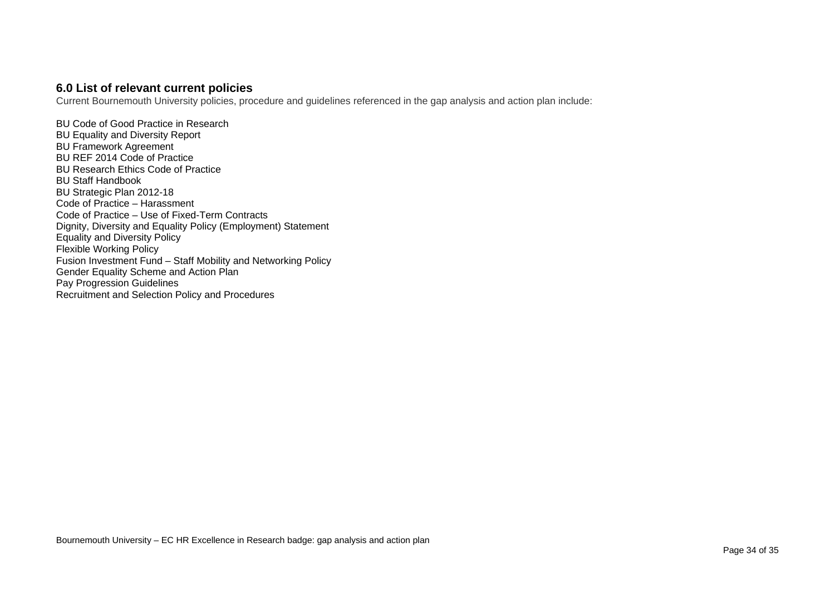#### **6.0 List of relevant current policies**

Current Bournemouth University policies, procedure and guidelines referenced in the gap analysis and action plan include:

<span id="page-33-0"></span>BU Code of Good Practice in Research BU Equality and Diversity Report BU Framework Agreement BU REF 2014 Code of Practice BU Research Ethics Code of Practice BU Staff Handbook BU Strategic Plan 2012-18 Code of Practice – Harassment Code of Practice – Use of Fixed-Term Contracts Dignity, Diversity and Equality Policy (Employment) Statement Equality and Diversity Policy Flexible Working Policy Fusion Investment Fund – Staff Mobility and Networking Policy Gender Equality Scheme and Action Plan Pay Progression Guidelines Recruitment and Selection Policy and Procedures